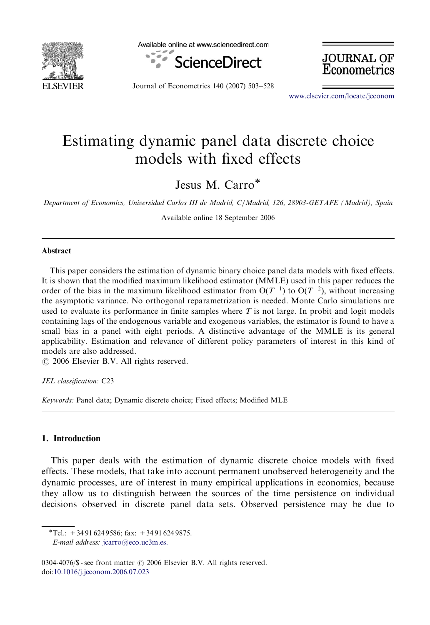

Available online at www.sciencedirect.com



JOURNAL OF Econometrics

Journal of Econometrics 140 (2007) 503–528

<www.elsevier.com/locate/jeconom>

# Estimating dynamic panel data discrete choice models with fixed effects

Jesus M. Carro<sup>\*</sup>

Department of Economics, Universidad Carlos III de Madrid, C/Madrid, 126, 28903-GETAFE (Madrid), Spain

Available online 18 September 2006

### **Abstract**

This paper considers the estimation of dynamic binary choice panel data models with fixed effects. It is shown that the modified maximum likelihood estimator (MMLE) used in this paper reduces the order of the bias in the maximum likelihood estimator from  $O(T^{-1})$  to  $O(T^{-2})$ , without increasing the asymptotic variance. No orthogonal reparametrization is needed. Monte Carlo simulations are used to evaluate its performance in finite samples where  $T$  is not large. In probit and logit models containing lags of the endogenous variable and exogenous variables, the estimator is found to have a small bias in a panel with eight periods. A distinctive advantage of the MMLE is its general applicability. Estimation and relevance of different policy parameters of interest in this kind of models are also addressed.

 $O$  2006 Elsevier B.V. All rights reserved.

JEL classification: C23

Keywords: Panel data; Dynamic discrete choice; Fixed effects; Modified MLE

## 1. Introduction

This paper deals with the estimation of dynamic discrete choice models with fixed effects. These models, that take into account permanent unobserved heterogeneity and the dynamic processes, are of interest in many empirical applications in economics, because they allow us to distinguish between the sources of the time persistence on individual decisions observed in discrete panel data sets. Observed persistence may be due to

 $\overline{+}$ Tel.: +34 91 624 9586; fax: +34 91 624 9875.

E-mail address: [jcarro@eco.uc3m.es.](mailto:jcarro@eco.uc3m.es)

<sup>0304-4076/</sup> $\$  - see front matter  $\circ$  2006 Elsevier B.V. All rights reserved. doi[:10.1016/j.jeconom.2006.07.023](dx.doi.org/10.1016/j.jeconom.2006.07.023)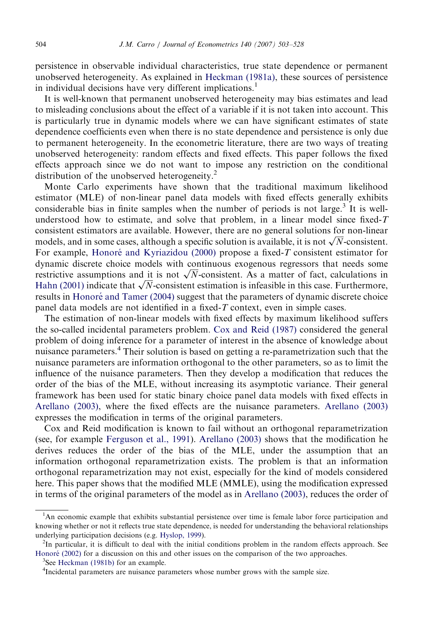persistence in observable individual characteristics, true state dependence or permanent unobserved heterogeneity. As explained in [Heckman \(1981a\)](#page-25-0), these sources of persistence in individual decisions have very different implications.<sup>1</sup>

It is well-known that permanent unobserved heterogeneity may bias estimates and lead to misleading conclusions about the effect of a variable if it is not taken into account. This is particularly true in dynamic models where we can have significant estimates of state dependence coefficients even when there is no state dependence and persistence is only due to permanent heterogeneity. In the econometric literature, there are two ways of treating unobserved heterogeneity: random effects and fixed effects. This paper follows the fixed effects approach since we do not want to impose any restriction on the conditional distribution of the unobserved heterogeneity.<sup>2</sup>

Monte Carlo experiments have shown that the traditional maximum likelihood estimator (MLE) of non-linear panel data models with fixed effects generally exhibits considerable bias in finite samples when the number of periods is not large.<sup>3</sup> It is wellunderstood how to estimate, and solve that problem, in a linear model since fixed- $T$ consistent estimators are available. However, there are no general solutions for non-linear consistent estimators are available. However, there are no general solutions for non-linear models, and in some cases, although a specific solution is available, it is not  $\sqrt{N}$ -consistent. For example, Honoré [and Kyriazidou \(2000\)](#page-25-0) propose a fixed-T consistent estimator for dynamic discrete choice models with continuous exogenous regressors that needs some ay halo assumptions and it is not  $\sqrt{N}$ -consistent. As a matter of fact, calculations in restrictive assumptions and it is not  $\sqrt{N}$ -consistent. As a matter of fact, calculations in [Hahn \(2001\)](#page-24-0) indicate that  $\sqrt{N}$ -consistent estimation is infeasible in this case. Furthermore, results in Honoré [and Tamer \(2004\)](#page-25-0) suggest that the parameters of dynamic discrete choice panel data models are not identified in a fixed-T context, even in simple cases.

The estimation of non-linear models with fixed effects by maximum likelihood suffers the so-called incidental parameters problem. [Cox and Reid \(1987\)](#page-24-0) considered the general problem of doing inference for a parameter of interest in the absence of knowledge about nuisance parameters.<sup>4</sup> Their solution is based on getting a re-parametrization such that the nuisance parameters are information orthogonal to the other parameters, so as to limit the influence of the nuisance parameters. Then they develop a modification that reduces the order of the bias of the MLE, without increasing its asymptotic variance. Their general framework has been used for static binary choice panel data models with fixed effects in [Arellano \(2003\)](#page-24-0), where the fixed effects are the nuisance parameters. [Arellano \(2003\)](#page-24-0) expresses the modification in terms of the original parameters.

Cox and Reid modification is known to fail without an orthogonal reparametrization (see, for example [Ferguson et al., 1991](#page-24-0)). [Arellano \(2003\)](#page-24-0) shows that the modification he derives reduces the order of the bias of the MLE, under the assumption that an information orthogonal reparametrization exists. The problem is that an information orthogonal reparametrization may not exist, especially for the kind of models considered here. This paper shows that the modified MLE (MMLE), using the modification expressed in terms of the original parameters of the model as in [Arellano \(2003\),](#page-24-0) reduces the order of

<sup>&</sup>lt;sup>1</sup>An economic example that exhibits substantial persistence over time is female labor force participation and knowing whether or not it reflects true state dependence, is needed for understanding the behavioral relationships underlying participation decisions (e.g. [Hyslop, 1999](#page-25-0)).

<sup>&</sup>lt;sup>2</sup>In particular, it is difficult to deal with the initial conditions problem in the random effects approach. See Honoré (2002) for a discussion on this and other issues on the comparison of the two approaches.

<sup>&</sup>lt;sup>3</sup>See [Heckman \(1981b\)](#page-25-0) for an example.

<sup>&</sup>lt;sup>4</sup>Incidental parameters are nuisance parameters whose number grows with the sample size.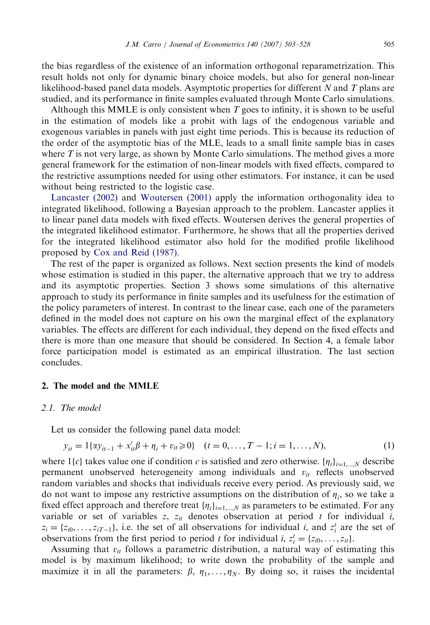the bias regardless of the existence of an information orthogonal reparametrization. This result holds not only for dynamic binary choice models, but also for general non-linear likelihood-based panel data models. Asymptotic properties for different  $N$  and  $T$  plans are studied, and its performance in finite samples evaluated through Monte Carlo simulations.

Although this MMLE is only consistent when  $T$  goes to infinity, it is shown to be useful in the estimation of models like a probit with lags of the endogenous variable and exogenous variables in panels with just eight time periods. This is because its reduction of the order of the asymptotic bias of the MLE, leads to a small finite sample bias in cases where  $T$  is not very large, as shown by Monte Carlo simulations. The method gives a more general framework for the estimation of non-linear models with fixed effects, compared to the restrictive assumptions needed for using other estimators. For instance, it can be used without being restricted to the logistic case.

[Lancaster \(2002\)](#page-25-0) and [Woutersen \(2001\)](#page-25-0) apply the information orthogonality idea to integrated likelihood, following a Bayesian approach to the problem. Lancaster applies it to linear panel data models with fixed effects. Woutersen derives the general properties of the integrated likelihood estimator. Furthermore, he shows that all the properties derived for the integrated likelihood estimator also hold for the modified profile likelihood proposed by [Cox and Reid \(1987\).](#page-24-0)

The rest of the paper is organized as follows. Next section presents the kind of models whose estimation is studied in this paper, the alternative approach that we try to address and its asymptotic properties. Section 3 shows some simulations of this alternative approach to study its performance in finite samples and its usefulness for the estimation of the policy parameters of interest. In contrast to the linear case, each one of the parameters defined in the model does not capture on his own the marginal effect of the explanatory variables. The effects are different for each individual, they depend on the fixed effects and there is more than one measure that should be considered. In Section 4, a female labor force participation model is estimated as an empirical illustration. The last section concludes.

# 2. The model and the MMLE

# 2.1. The model

Let us consider the following panel data model:

$$
y_{it} = 1\{\alpha y_{it-1} + x_{it}'\beta + \eta_i + v_{it} \ge 0\} \quad (t = 0, \dots, T - 1; i = 1, \dots, N),
$$
 (1)

where  $1\{c\}$  takes value one if condition c is satisfied and zero otherwise.  $\{\eta_i\}_{i=1,\dots,N}$  describe permanent unobserved heterogeneity among individuals and  $v_{it}$  reflects unobserved random variables and shocks that individuals receive every period. As previously said, we do not want to impose any restrictive assumptions on the distribution of  $\eta_i$ , so we take a fixed effect approach and therefore treat  $\{\eta_i\}_{i=1,\dots,N}$  as parameters to be estimated. For any variable or set of variables  $z$ ,  $z_{it}$  denotes observation at period t for individual i,  $z_i = \{z_{i0}, \ldots, z_{iT-1}\}\$ , i.e. the set of all observations for individual i, and  $z_i^t$  are the set of observations from the first period to period t for individual i,  $z_i^t = \{z_{i0}, \ldots, z_{it}\}.$ 

Assuming that  $v_{it}$  follows a parametric distribution, a natural way of estimating this model is by maximum likelihood; to write down the probability of the sample and maximize it in all the parameters:  $\beta$ ,  $\eta_1, \ldots, \eta_N$ . By doing so, it raises the incidental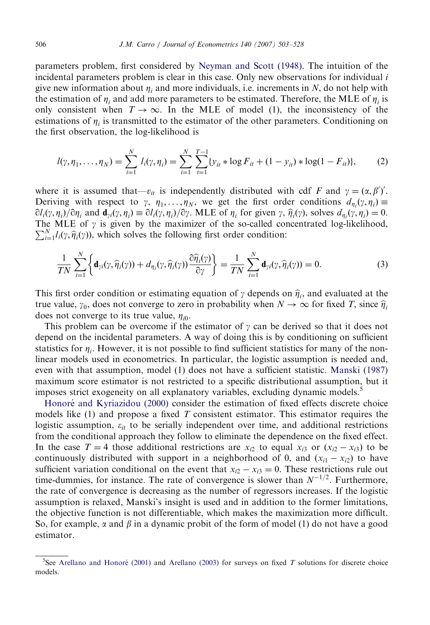parameters problem, first considered by [Neyman and Scott \(1948\).](#page-25-0) The intuition of the incidental parameters problem is clear in this case. Only new observations for individual i give new information about  $\eta_i$  and more individuals, i.e. increments in N, do not help with the estimation of  $\eta_i$  and add more parameters to be estimated. Therefore, the MLE of  $\eta_i$  is only consistent when  $T \to \infty$ . In the MLE of model (1), the inconsistency of the estimations of  $\eta_i$  is transmitted to the estimator of the other parameters. Conditioning on the first observation, the log-likelihood is

$$
l(\gamma, \eta_1, \dots, \eta_N) = \sum_{i=1}^N l_i(\gamma, \eta_i) = \sum_{i=1}^N \sum_{t=1}^{T-1} \{y_{it} * \log F_{it} + (1 - y_{it}) * \log(1 - F_{it})\},\tag{2}
$$

where it is assumed that— $v_{it}$  is independently distributed with cdf F and  $\gamma = (\alpha, \beta)'.$ Deriving with respect to  $\gamma$ ,  $\eta_1, \ldots, \eta_N$ , we get the first order conditions  $d_{\eta_i}(\gamma, \eta_i) \equiv$  $\partial l_i(\gamma, \eta_i)/\partial \eta_i$  and  $\mathbf{d}_{\gamma i}(\gamma, \eta_i) \equiv \partial l_i(\gamma, \eta_i)/\partial \gamma$ . MLE of  $\eta_i$  for given  $\gamma$ ,  $\hat{\eta}_i(\gamma)$ , solves  $d_{\eta_i}(\gamma, \eta_i) = 0$ . The MLE of  $\gamma$  is given by the maximizer of the so-called concentrated log-likelihood,  $\sum_{i=1}^{N} l_i(\gamma, \hat{\eta}_i(\gamma))$ , which solves the following first order condition:

$$
\frac{1}{TN}\sum_{i=1}^N\left\{\mathbf{d}_{\gamma i}(\gamma,\widehat{\eta}_i(\gamma)) + d_{\eta_i}(\gamma,\widehat{\eta}_i(\gamma))\frac{\partial\widehat{\eta}_i(\gamma)}{\partial\gamma}\right\} = \frac{1}{TN}\sum_{i=1}^N\mathbf{d}_{\gamma i}(\gamma,\widehat{\eta}_i(\gamma)) = 0.
$$
\n(3)

This first order condition or estimating equation of  $\gamma$  depends on  $\hat{\eta}_i$ , and evaluated at the true value,  $\gamma_0$ , does not converge to zero in probability when  $N \to \infty$  for fixed T, since  $\hat{\eta}_i$ does not converge to its true value,  $\eta_{i0}$ .

This problem can be overcome if the estimator of  $\gamma$  can be derived so that it does not depend on the incidental parameters. A way of doing this is by conditioning on sufficient statistics for  $\eta_i$ . However, it is not possible to find sufficient statistics for many of the nonlinear models used in econometrics. In particular, the logistic assumption is needed and, even with that assumption, model (1) does not have a sufficient statistic. [Manski \(1987\)](#page-25-0) maximum score estimator is not restricted to a specific distributional assumption, but it imposes strict exogeneity on all explanatory variables, excluding dynamic models.<sup>5</sup>

Honoré [and Kyriazidou \(2000\)](#page-25-0) consider the estimation of fixed effects discrete choice models like  $(1)$  and propose a fixed T consistent estimator. This estimator requires the logistic assumption,  $\varepsilon_{it}$  to be serially independent over time, and additional restrictions from the conditional approach they follow to eliminate the dependence on the fixed effect. In the case  $T = 4$  those additional restrictions are  $x_{i2}$  to equal  $x_{i3}$  or  $(x_{i2} - x_{i3})$  to be continuously distributed with support in a neighborhood of 0, and  $(x_{i1} - x_{i2})$  to have sufficient variation conditional on the event that  $x_{i2} - x_{i3} = 0$ . These restrictions rule out time-dummies, for instance. The rate of convergence is slower than  $N^{-1/2}$ . Furthermore, the rate of convergence is decreasing as the number of regressors increases. If the logistic assumption is relaxed, Manski's insight is used and in addition to the former limitations, the objective function is not differentiable, which makes the maximization more difficult. So, for example,  $\alpha$  and  $\beta$  in a dynamic probit of the form of model (1) do not have a good estimator.

<sup>&</sup>lt;sup>5</sup>See Arellano and Honoré (2001) and [Arellano \(2003\)](#page-24-0) for surveys on fixed T solutions for discrete choice models.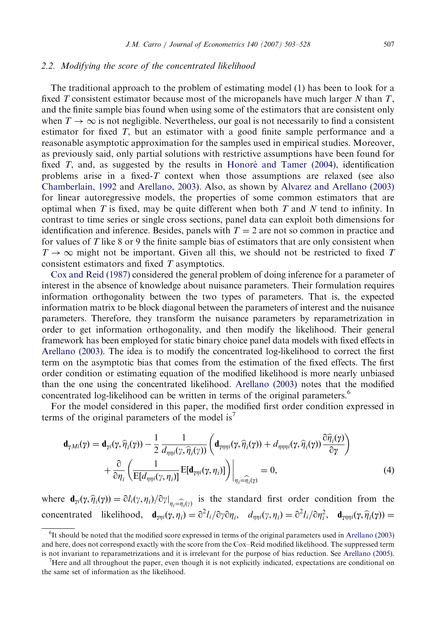## 2.2. Modifying the score of the concentrated likelihood

The traditional approach to the problem of estimating model (1) has been to look for a fixed T consistent estimator because most of the micropanels have much larger N than  $T$ , and the finite sample bias found when using some of the estimators that are consistent only when  $T \to \infty$  is not negligible. Nevertheless, our goal is not necessarily to find a consistent estimator for fixed T, but an estimator with a good finite sample performance and a reasonable asymptotic approximation for the samples used in empirical studies. Moreover, as previously said, only partial solutions with restrictive assumptions have been found for fixed  $T$ , and, as suggested by the results in Honoré [and Tamer \(2004\),](#page-25-0) identification problems arise in a fixed- $T$  context when those assumptions are relaxed (see also [Chamberlain, 1992](#page-24-0) and [Arellano, 2003](#page-24-0)). Also, as shown by [Alvarez and Arellano \(2003\)](#page-24-0) for linear autoregressive models, the properties of some common estimators that are optimal when T is fixed, may be quite different when both T and N tend to infinity. In contrast to time series or single cross sections, panel data can exploit both dimensions for identification and inference. Besides, panels with  $T = 2$  are not so common in practice and for values of T like 8 or 9 the finite sample bias of estimators that are only consistent when  $T \rightarrow \infty$  might not be important. Given all this, we should not be restricted to fixed T consistent estimators and fixed T asymptotics.

[Cox and Reid \(1987\)](#page-24-0) considered the general problem of doing inference for a parameter of interest in the absence of knowledge about nuisance parameters. Their formulation requires information orthogonality between the two types of parameters. That is, the expected information matrix to be block diagonal between the parameters of interest and the nuisance parameters. Therefore, they transform the nuisance parameters by reparametrization in order to get information orthogonality, and then modify the likelihood. Their general framework has been employed for static binary choice panel data models with fixed effects in [Arellano \(2003\).](#page-24-0) The idea is to modify the concentrated log-likelihood to correct the first term on the asymptotic bias that comes from the estimation of the fixed effects. The first order condition or estimating equation of the modified likelihood is more nearly unbiased than the one using the concentrated likelihood. [Arellano \(2003\)](#page-24-0) notes that the modified concentrated log-likelihood can be written in terms of the original parameters.<sup>6</sup>

For the model considered in this paper, the modified first order condition expressed in terms of the original parameters of the model is<sup>7</sup>

$$
\mathbf{d}_{\gamma Mi}(\gamma) = \mathbf{d}_{\gamma i}(\gamma, \widehat{\eta}_i(\gamma)) - \frac{1}{2} \frac{1}{d_{\eta \eta i}(\gamma, \widehat{\eta}_i(\gamma))} \left( \mathbf{d}_{\gamma \eta \eta i}(\gamma, \widehat{\eta}_i(\gamma)) + d_{\eta \eta \eta i}(\gamma, \widehat{\eta}_i(\gamma)) \frac{\partial \widehat{\eta}_i(\gamma)}{\partial \gamma} \right) + \frac{\widehat{\Theta}}{\widehat{\Theta} \eta_i} \left( \frac{1}{\mathrm{E}[d_{\eta \eta i}(\gamma, \eta_i)]} \mathrm{E}[\mathbf{d}_{\gamma \eta i}(\gamma, \eta_i)] \right) \Big|_{\eta_i = \widehat{\eta}_i(\gamma)} = 0,
$$
(4)

where  $\mathbf{d}_{\gamma i}(\gamma, \hat{\eta}_i(\gamma)) = \partial l_i(\gamma, \eta_i) / \partial \gamma \big|_{\eta_i = \hat{\eta}_i(\gamma)}$  is the standard first order condition from the concentrated likelihood,  $\mathbf{d}_{\gamma\eta i}(\gamma, \eta_i) = \frac{\partial^2 l_i}{\partial \gamma \partial \eta_i}$ ,  $d_{\eta\eta i}(\gamma, \eta_i) = \frac{\partial^2 l_i}{\partial \eta_i^2}$ ,  $\mathbf{d}_{\gamma\eta\eta i}(\gamma, \hat{\eta}_i(\gamma)) =$ 

<sup>6</sup> It should be noted that the modified score expressed in terms of the original parameters used in [Arellano \(2003\)](#page-24-0) and here, does not correspond exactly with the score from the Cox–Reid modified likelihood. The suppressed term is not invariant to reparametrizations and it is irrelevant for the purpose of bias reduction. See [Arellano \(2005\)](#page-24-0).

Here and all throughout the paper, even though it is not explicitly indicated, expectations are conditional on the same set of information as the likelihood.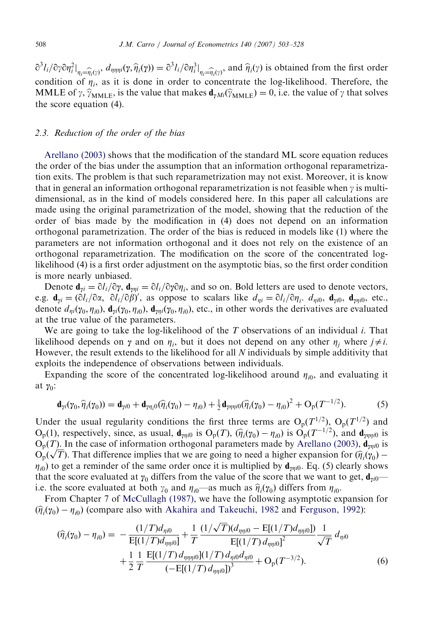$\left[\frac{\partial^3 l_i}{\partial \gamma \partial \eta_i^2}\right]_{\eta_i=\widehat{\eta_i}(\gamma)}$ ,  $d_{\eta_i\eta_i(\gamma)} = \left[\frac{\partial^3 l_i}{\partial \eta_i^3}\right]_{\eta_i=\widehat{\eta_i}(\gamma)}$ , and  $\widehat{\eta_i}(\gamma)$  is obtained from the first order condition of  $\eta_i$ , as it is done in order to concentrate the log-likelihood. Therefore, the MMLE of  $\gamma$ ,  $\hat{\gamma}_{MMLE}$ , is the value that makes  $\mathbf{d}_{yMi}(\hat{\gamma}_{MMLE}) = 0$ , i.e. the value of  $\gamma$  that solves the score equation (4).

#### 2.3. Reduction of the order of the bias

[Arellano \(2003\)](#page-24-0) shows that the modification of the standard ML score equation reduces the order of the bias under the assumption that an information orthogonal reparametrization exits. The problem is that such reparametrization may not exist. Moreover, it is know that in general an information orthogonal reparametrization is not feasible when  $\gamma$  is multidimensional, as in the kind of models considered here. In this paper all calculations are made using the original parametrization of the model, showing that the reduction of the order of bias made by the modification in (4) does not depend on an information orthogonal parametrization. The order of the bias is reduced in models like (1) where the parameters are not information orthogonal and it does not rely on the existence of an orthogonal reparametrization. The modification on the score of the concentrated loglikelihood (4) is a first order adjustment on the asymptotic bias, so the first order condition is more nearly unbiased.

Denote  $\mathbf{d}_{vi}=\partial l_i/\partial \gamma$ ,  $\mathbf{d}_{vni}=\partial l_i/\partial \gamma \partial \eta_i$ , and so on. Bold letters are used to denote vectors, e.g.  $\mathbf{d}_{\gamma i} = (\partial l_i / \partial \alpha, \partial l_i / \partial \beta)'$ , as oppose to scalars like  $d_{\eta i} = \partial l_i / \partial \eta_i$ .  $d_{\eta i0}$ ,  $\mathbf{d}_{\gamma i0}$ , etc., denote  $d_{\eta i}(\gamma_0, \eta_{i0}), \mathbf{d}_{\gamma i}(\gamma_0, \eta_{i0}), \mathbf{d}_{\gamma i}(\gamma_0, \eta_{i0}),$  etc., in other words the derivatives are evaluated at the true value of the parameters.

We are going to take the log-likelihood of the  $T$  observations of an individual  $i$ . That likelihood depends on  $\gamma$  and on  $\eta_i$ , but it does not depend on any other  $\eta_i$ , where  $j \neq i$ . However, the result extends to the likelihood for all  $N$  individuals by simple additivity that exploits the independence of observations between individuals.

Expanding the score of the concentrated log-likelihood around  $\eta_{i0}$ , and evaluating it at  $\gamma_0$ :

$$
\mathbf{d}_{\gamma i}(\gamma_0, \hat{\eta}_i(\gamma_0)) = \mathbf{d}_{\gamma i0} + \mathbf{d}_{\gamma \eta_i 0}(\hat{\eta}_i(\gamma_0) - \eta_{i0}) + \frac{1}{2}\mathbf{d}_{\gamma \eta \eta i0}(\hat{\eta}_i(\gamma_0) - \eta_{i0})^2 + O_p(T^{-1/2}).
$$
 (5)

Under the usual regularity conditions the first three terms are  $O_p(T^{1/2})$ ,  $O_p(T^{1/2})$  and  $O_p(1)$ , respectively, since, as usual,  $d_{\eta\eta i0}$  is  $O_p(T)$ ,  $(\hat{\eta}_i(\gamma_0) - \eta_{i0})$  is  $O_p(T^{-1/2})$ , and  $d_{\eta\eta\eta i0}$  is  $O_p(T)$ . In the case of information orthogonal parameters made by [Arellano \(2003\)](#page-24-0),  $\mathbf{d}_{\text{yni0}}$  is  $O_p(T)$ . In the case of information orthogonal parameters made by Areliano (2003),  $\mathbf{d}_{p_l/0}$  is  $O_p(\sqrt{T})$ . That difference implies that we are going to need a higher expansion for  $(\hat{\eta}_i(\gamma_0) \eta_{i0}$ ) to get a reminder of the same order once it is multiplied by  $\mathbf{d}_{\eta i0}$ . Eq. (5) clearly shows that the score evaluated at  $\gamma_0$  differs from the value of the score that we want to get,  $\mathbf{d}_{\gamma i}$  – i.e. the score evaluated at both  $\gamma_0$  and  $\eta_{i0}$ —as much as  $\hat{\eta}_i(\gamma_0)$  differs from  $\eta_{i0}$ .

From Chapter 7 of [McCullagh \(1987\),](#page-25-0) we have the following asymptotic expansion for  $(\hat{\eta}_i(\gamma_0) - \eta_{i0})$  (compare also with [Akahira and Takeuchi, 1982](#page-24-0) and [Ferguson, 1992](#page-24-0)):

$$
(\widehat{\eta}_i(\gamma_0) - \eta_{i0}) = -\frac{(1/T)d_{\eta i0}}{\mathrm{E}[(1/T)d_{\eta\eta i0}]} + \frac{1}{T} \frac{(1/\sqrt{T})(d_{\eta\eta i0} - \mathrm{E}[(1/T)d_{\eta\eta i0}])}{\mathrm{E}[(1/T)d_{\eta\eta i0}]^2} \frac{1}{\sqrt{T}} d_{\eta i0}
$$
  
+ 
$$
\frac{1}{2} \frac{1}{T} \frac{\mathrm{E}[(1/T)d_{\eta\eta\eta i0}](1/T)d_{\eta i0}d_{\eta i0}}{(-\mathrm{E}[(1/T)d_{\eta\eta i0}])^3} + \mathrm{O}_p(T^{-3/2}).
$$
 (6)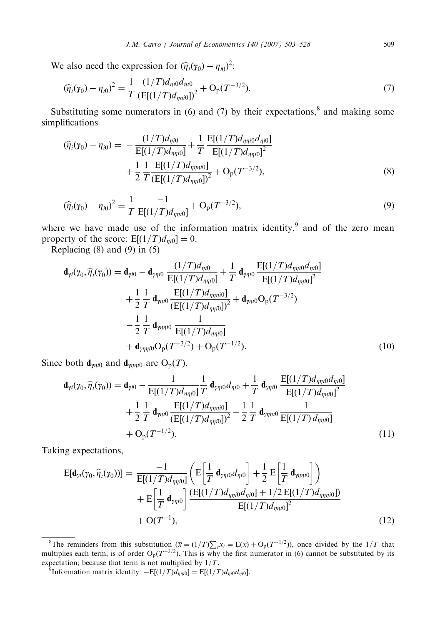We also need the expression for  $(\hat{\eta}_i(\gamma_0) - \eta_{i0})^2$ :

$$
(\widehat{\eta}_i(\gamma_0) - \eta_{i0})^2 = \frac{1}{T} \frac{(1/T)d_{\eta i0}d_{\eta i0}}{(E[(1/T)d_{\eta \eta i0}])^2} + O_p(T^{-3/2}).
$$
\n(7)

Substituting some numerators in  $(6)$  and  $(7)$  by their expectations,  $\delta$  and making some simplifications

$$
(\widehat{\eta}_i(\gamma_0) - \eta_{i0}) = -\frac{(1/T)d_{\eta i0}}{\mathrm{E}[(1/T)d_{\eta \eta i0}]} + \frac{1}{T} \frac{\mathrm{E}[(1/T)d_{\eta \eta i0}d_{\eta i0}]}{\mathrm{E}[(1/T)d_{\eta \eta i0}]^2} + \frac{1}{2} \frac{\mathrm{E}[(1/T)d_{\eta \eta i0}]}{T} \frac{\mathrm{E}[(1/T)d_{\eta \eta i0}]}{\mathrm{E}[(1/T)d_{\eta \eta i0}]} + \mathrm{O}_p(T^{-3/2}),
$$
\n(8)

$$
(\widehat{\eta}_i(\gamma_0) - \eta_{i0})^2 = \frac{1}{T} \frac{-1}{\mathrm{E}[(1/T)d_{\eta\eta i0}]} + \mathrm{O}_p(T^{-3/2}),\tag{9}
$$

where we have made use of the information matrix identity, $9$  and of the zero mean property of the score:  $E[(1/T)d_{ni0}] = 0$ .

Replacing  $(8)$  and  $(9)$  in  $(5)$ 

$$
\mathbf{d}_{\gamma i}(\gamma_0, \hat{\eta}_i(\gamma_0)) = \mathbf{d}_{\gamma i0} - \mathbf{d}_{\gamma \eta i0} \frac{(1/T)d_{\eta i0}}{\mathrm{E}[(1/T)d_{\eta \eta i0}]} + \frac{1}{T} \mathbf{d}_{\gamma \eta i0} \frac{\mathrm{E}[(1/T)d_{\eta \eta i0}d_{\eta i0}]}{\mathrm{E}[(1/T)d_{\eta \eta i0}]^2} \n+ \frac{1}{2} \frac{1}{T} \mathbf{d}_{\gamma \eta i0} \frac{\mathrm{E}[(1/T)d_{\eta \eta \eta i0}]}{(\mathrm{E}[(1/T)d_{\eta \eta i0}])^2} + \mathbf{d}_{\gamma \eta i0} \mathrm{O}_{\mathrm{p}}(T^{-3/2}) \n- \frac{1}{2} \frac{1}{T} \mathbf{d}_{\gamma \eta \eta i0} \frac{1}{\mathrm{E}[(1/T)d_{\eta \eta i0}]} \n+ \mathbf{d}_{\gamma \eta \eta i0} \mathrm{O}_{\mathrm{p}}(T^{-3/2}) + \mathrm{O}_{\mathrm{p}}(T^{-1/2}).
$$
\n(10)

Since both  $\mathbf{d}_{\gamma\eta i0}$  and  $\mathbf{d}_{\gamma\eta\eta i0}$  are  $O_p(T)$ ,

$$
\mathbf{d}_{\gamma i}(\gamma_0, \hat{\eta}_i(\gamma_0)) = \mathbf{d}_{\gamma i0} - \frac{1}{\mathrm{E}[(1/T)d_{\eta\eta i0}]} \frac{1}{T} \mathbf{d}_{\gamma\eta i0} d_{\eta i0} + \frac{1}{T} \mathbf{d}_{\gamma\eta i0} \frac{\mathrm{E}[(1/T)d_{\eta\eta i0}d_{\eta i0}]}{\mathrm{E}[(1/T)d_{\eta\eta i0}]^2} + \frac{1}{2} \frac{1}{T} \mathbf{d}_{\gamma\eta i0} \frac{\mathrm{E}[(1/T)d_{\eta\eta\eta i0}]}{(\mathrm{E}[(1/T)d_{\eta\eta i0}])^2} - \frac{1}{2} \frac{1}{T} \mathbf{d}_{\gamma\eta\eta i0} \frac{1}{\mathrm{E}[(1/T)d_{\eta\eta i0}]} + \mathrm{O}_{\mathrm{p}}(T^{-1/2}).
$$
\n(11)

Taking expectations,

$$
E[\mathbf{d}_{\gamma i}(\gamma_0, \hat{\eta}_i(\gamma_0))] = \frac{-1}{E[(1/T)d_{\eta\eta i0}]} \left( E\left[\frac{1}{T} \mathbf{d}_{\gamma\eta i0} d_{\eta i0}\right] + \frac{1}{2} E\left[\frac{1}{T} \mathbf{d}_{\gamma\eta\eta i0}\right] \right) + E\left[\frac{1}{T} \mathbf{d}_{\gamma\eta i0}\right] \frac{(E[(1/T)d_{\eta\eta i0}d_{\eta i0}] + 1/2 E[(1/T)d_{\eta\eta\eta i0}])}{E[(1/T)d_{\eta\eta i0}]^2} + O(T^{-1}),
$$
(12)

<sup>&</sup>lt;sup>8</sup>The reminders from this substitution  $(\overline{x} = (1/T)\sum_{i}x_i = E(x) + O_p(T^{-1/2})$ , once divided by the 1/T that multiplies each term, is of order  $O_p(T^{-3/2})$ . This is why the first numerator in (6) cannot be substituted by its expectation; because that term is not multiplied by  $1/T$ .

<sup>&</sup>lt;sup>9</sup>Information matrix identity:  $-E[(1/T)d_{\eta\eta i0}] = E[(1/T)d_{\eta i0}d_{\eta i0}]$ .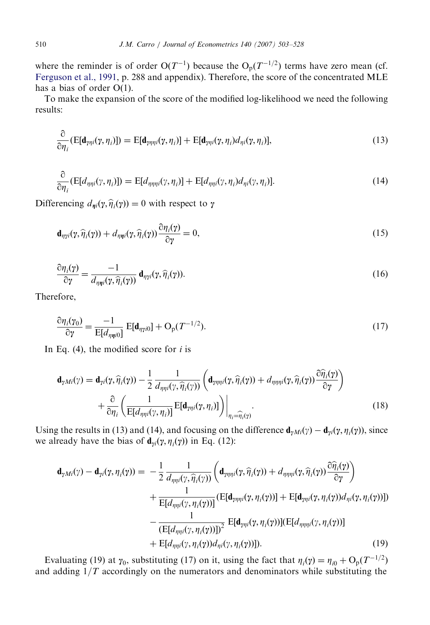where the reminder is of order  $O(T^{-1})$  because the  $O_p(T^{-1/2})$  terms have zero mean (cf. [Ferguson et al., 1991](#page-24-0), p. 288 and appendix). Therefore, the score of the concentrated MLE has a bias of order  $O(1)$ .

To make the expansion of the score of the modified log-likelihood we need the following results:

$$
\frac{\partial}{\partial \eta_i} (E[\mathbf{d}_{\eta\eta i}(\gamma, \eta_i)]) = E[\mathbf{d}_{\eta\eta\eta i}(\gamma, \eta_i)] + E[\mathbf{d}_{\eta\eta i}(\gamma, \eta_i) d_{\eta i}(\gamma, \eta_i)], \qquad (13)
$$

$$
\frac{\partial}{\partial \eta_i} (E[d_{\eta\eta i}(\gamma, \eta_i)]) = E[d_{\eta\eta\eta i}(\gamma, \eta_i)] + E[d_{\eta\eta i}(\gamma, \eta_i)d_{\eta i}(\gamma, \eta_i)]. \tag{14}
$$

Differencing  $d_{\eta i}(\gamma, \hat{\eta}_i(\gamma)) = 0$  with respect to  $\gamma$ 

$$
\mathbf{d}_{\eta\gamma i}(\gamma,\widehat{\eta}_{i}(\gamma)) + d_{\eta\eta i}(\gamma,\widehat{\eta}_{i}(\gamma))\frac{\partial\eta_{i}(\gamma)}{\partial\gamma} = 0, \qquad (15)
$$

$$
\frac{\partial \eta_i(\gamma)}{\partial \gamma} = \frac{-1}{d_{\eta\eta i}(\gamma, \widehat{\eta}_i(\gamma))} \mathbf{d}_{\eta\eta i}(\gamma, \widehat{\eta}_i(\gamma)).
$$
\n(16)

Therefore,

$$
\frac{\partial \eta_i(\gamma_0)}{\partial \gamma} = \frac{-1}{\mathrm{E}[d_{\eta\eta i0}]} \mathrm{E}[\mathbf{d}_{\eta\gamma i0}] + \mathrm{O}_p(T^{-1/2}).
$$
\n(17)

In Eq. (4), the modified score for  $i$  is

$$
\mathbf{d}_{\gamma Mi}(\gamma) = \mathbf{d}_{\gamma i}(\gamma, \widehat{\eta}_i(\gamma)) - \frac{1}{2} \frac{1}{d_{\eta \eta i}(\gamma, \widehat{\eta}_i(\gamma))} \left( \mathbf{d}_{\gamma \eta \eta i}(\gamma, \widehat{\eta}_i(\gamma)) + d_{\eta \eta \eta i}(\gamma, \widehat{\eta}_i(\gamma)) \frac{\partial \widehat{\eta}_i(\gamma)}{\partial \gamma} \right) + \frac{\partial}{\partial \eta_i} \left( \frac{1}{\mathrm{E}[d_{\eta \eta i}(\gamma, \eta_i)]} \mathrm{E}[\mathbf{d}_{\gamma \eta i}(\gamma, \eta_i)] \right) \Big|_{\eta_i = \widehat{\eta}_i(\gamma)}.
$$
\n(18)

Using the results in (13) and (14), and focusing on the difference  $\mathbf{d}_{\gamma Mi}(\gamma) - \mathbf{d}_{\gamma i}(\gamma, \eta_i(\gamma))$ , since we already have the bias of  $\mathbf{d}_{vi}(\gamma, \eta_i(\gamma))$  in Eq. (12):

$$
\mathbf{d}_{\gamma Mi}(\gamma) - \mathbf{d}_{\gamma i}(\gamma, \eta_i(\gamma)) = -\frac{1}{2} \frac{1}{d_{\eta \eta i}(\gamma, \widehat{\eta}_i(\gamma))} \left( \mathbf{d}_{\gamma \eta \eta i}(\gamma, \widehat{\eta}_i(\gamma)) + d_{\eta \eta \eta i}(\gamma, \widehat{\eta}_i(\gamma)) \frac{\partial \widehat{\eta}_i(\gamma)}{\partial \gamma} \right) + \frac{1}{\mathrm{E}[d_{\eta \eta i}(\gamma, \eta_i(\gamma))]} (\mathrm{E}[\mathbf{d}_{\gamma \eta \eta i}(\gamma, \eta_i(\gamma))] + \mathrm{E}[\mathbf{d}_{\gamma \eta i}(\gamma, \eta_i(\gamma))d_{\eta i}(\gamma, \eta_i(\gamma))]) - \frac{1}{(\mathrm{E}[d_{\eta \eta i}(\gamma, \eta_i(\gamma))])^2} \mathrm{E}[\mathbf{d}_{\gamma \eta i}(\gamma, \eta_i(\gamma))][\mathrm{E}[d_{\eta \eta \eta i}(\gamma, \eta_i(\gamma))] + \mathrm{E}[d_{\eta \eta i}(\gamma, \eta_i(\gamma))d_{\eta i}(\gamma, \eta_i(\gamma))]). \tag{19}
$$

Evaluating (19) at  $\gamma_0$ , substituting (17) on it, using the fact that  $\eta_i(y) = \eta_{i0} + O_p(T^{-1/2})$ and adding  $1/T$  accordingly on the numerators and denominators while substituting the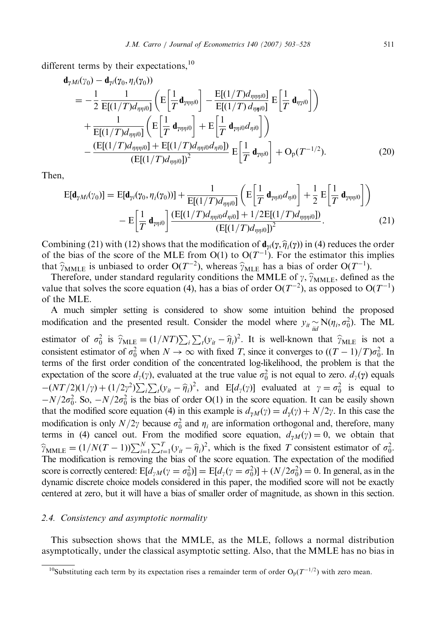different terms by their expectations,  $10$ 

$$
\mathbf{d}_{\gamma Mi}(\gamma_0) - \mathbf{d}_{\gamma i}(\gamma_0, \eta_i(\gamma_0))
$$
\n
$$
= -\frac{1}{2} \frac{1}{E[(1/T)d_{\eta\eta\eta i0}]} \left( E\left[\frac{1}{T} \mathbf{d}_{\gamma\eta\eta i0}\right] - \frac{E[(1/T)d_{\eta\eta\eta i0}]}{E[(1/T)d_{\eta\eta i0}]} E\left[\frac{1}{T} \mathbf{d}_{\eta\gamma i0}\right] \right)
$$
\n
$$
+ \frac{1}{E[(1/T)d_{\eta\eta i0}]} \left( E\left[\frac{1}{T} \mathbf{d}_{\gamma\eta\eta i0}\right] + E\left[\frac{1}{T} \mathbf{d}_{\gamma\eta i0} d_{\eta i0}\right] \right)
$$
\n
$$
- \frac{(E[(1/T)d_{\eta\eta\eta i0}] + E[(1/T)d_{\eta\eta i0}d_{\eta i0}]}{(E[(1/T)d_{\eta\eta i0}])^2} E\left[\frac{1}{T} \mathbf{d}_{\gamma\eta i0}\right] + O_p(T^{-1/2}). \tag{20}
$$

Then,

$$
E[\mathbf{d}_{\gamma Mi}(\gamma_0)] = E[\mathbf{d}_{\gamma i}(\gamma_0, \eta_i(\gamma_0))] + \frac{1}{E[(1/T)d_{\eta\eta i0}]} \left( E\left[\frac{1}{T} \mathbf{d}_{\gamma\eta i0} d_{\eta i0}\right] + \frac{1}{2} E\left[\frac{1}{T} \mathbf{d}_{\gamma\eta\eta i0}\right] \right) - E\left[\frac{1}{T} \mathbf{d}_{\gamma\eta i0}\right] \frac{(E[(1/T)d_{\eta\eta i0}d_{\eta i0}] + 1/2E[(1/T)d_{\eta\eta\eta i0}])}{(E[(1/T)d_{\eta\eta i0}])^2}.
$$
 (21)

Combining (21) with (12) shows that the modification of  $\mathbf{d}_{\nu i}(\gamma, \hat{\eta}_{i}(\gamma))$  in (4) reduces the order of the bias of the score of the MLE from O(1) to  $O(T^{-1})$ . For the estimator this implies that  $\hat{\gamma}_{\text{MMLE}}$  is unbiased to order O(T<sup>-2</sup>), whereas  $\hat{\gamma}_{\text{MLE}}$  has a bias of order O(T<sup>-1</sup>).

Therefore, under standard regularity conditions the MMLE of  $\gamma$ ,  $\hat{\gamma}_{MMLE}$ , defined as the value that solves the score equation (4), has a bias of order  $O(T^{-2})$ , as opposed to  $O(T^{-1})$ of the MLE.

A much simpler setting is considered to show some intuition behind the proposed modification and the presented result. Consider the model where  $y_{it} \sim N(\eta_i, \sigma_0^2)$ . The ML estimator of  $\sigma_0^2$  is  $\hat{\gamma}_{MLE} = (1/NT)\sum_i \sum_i (y_i - \hat{\eta}_i)^2$ . It is well-known that  $\hat{\gamma}_{MLE}$  is not a consistent estimator of  $\sigma_0^2$  when  $N \to \infty$  with fixed T, since it converges to  $((T-1)/T)\sigma_0^2$ . In terms of the first order condition of the concentrated log-likelihood, the problem is that the expectation of the score  $d_{\gamma}(\gamma)$ , evaluated at the true value  $\sigma_0^2$  is not equal to zero.  $d_{\gamma}(\gamma)$  equals  $-(NT/2)(1/\gamma) + (1/2\gamma^2)\sum_i \sum_i (y_{ii} - \hat{\eta}_i)^2$ , and E[d<sub>y</sub>(y)] evaluated at  $\gamma = \sigma_0^2$  is equal to  $-N/2\sigma_0^2$ . So,  $-N/2\sigma_0^2$  is the bias of order O(1) in the score equation. It can be easily shown that the modified score equation (4) in this example is  $d_{\gamma M}(\gamma) = d_{\gamma}(\gamma) + N/2\gamma$ . In this case the modification is only  $N/2\gamma$  because  $\sigma_0^2$  and  $\eta_i$  are information orthogonal and, therefore, many terms in (4) cancel out. From the modified score equation,  $d_{\gamma M}(\gamma) = 0$ , we obtain that  $\hat{\gamma}_{\text{MMLE}} = (1/N(T-1))\sum_{i=1}^{N} \sum_{t=1}^{T} (y_{it} - \hat{\eta}_{i})^{2}$ , which is the fixed T consistent estimator of  $\sigma_0^2$ . The modification is removing the bias of the score equation. The expectation of the modified score is correctly centered:  $E[d_{\gamma M}(\gamma = \sigma_0^2)] = E[d_{\gamma}(\gamma = \sigma_0^2)] + (N/2\sigma_0^2) = 0$ . In general, as in the dynamic discrete choice models considered in this paper, the modified score will not be exactly centered at zero, but it will have a bias of smaller order of magnitude, as shown in this section.

#### 2.4. Consistency and asymptotic normality

This subsection shows that the MMLE, as the MLE, follows a normal distribution asymptotically, under the classical asymptotic setting. Also, that the MMLE has no bias in

<sup>&</sup>lt;sup>10</sup>Substituting each term by its expectation rises a remainder term of order  $O_p(T^{-1/2})$  with zero mean.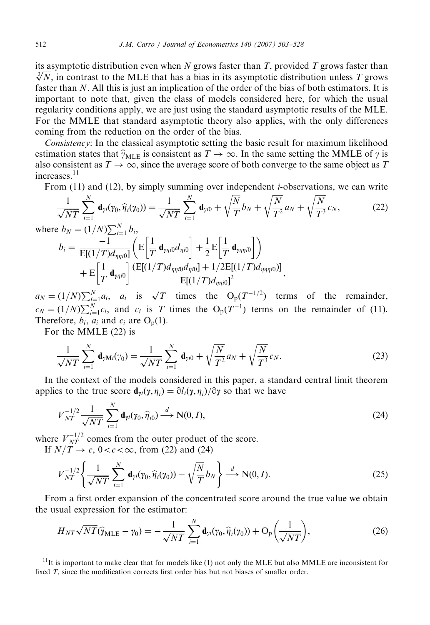its asymptotic distribution even when N grows faster than T, provided T grows faster than  $\sqrt[3]{N}$ , in contrast to the MLE that has a bias in its asymptotic distribution unless T grows faster than N. All this is just an implication of the order of the bias of both estimators. It is important to note that, given the class of models considered here, for which the usual regularity conditions apply, we are just using the standard asymptotic results of the MLE. For the MMLE that standard asymptotic theory also applies, with the only differences coming from the reduction on the order of the bias.

Consistency: In the classical asymptotic setting the basic result for maximum likelihood estimation states that  $\hat{\gamma}_{MLE}$  is consistent as  $T \to \infty$ . In the same setting the MMLE of  $\gamma$  is also consistent as  $T \to \infty$ , since the average score of both converge to the same object as T increases.<sup>11</sup>

From (11) and (12), by simply summing over independent *i*-observations, we can write

$$
\frac{1}{\sqrt{NT}}\sum_{i=1}^{N}\mathbf{d}_{\gamma i}(\gamma_0,\widehat{\eta}_i(\gamma_0)) = \frac{1}{\sqrt{NT}}\sum_{i=1}^{N}\mathbf{d}_{\gamma i0} + \sqrt{\frac{N}{T}}b_N + \sqrt{\frac{N}{T^2}}a_N + \sqrt{\frac{N}{T^3}}c_N, \tag{22}
$$

where  $b_N = (1/N) \sum_{i=1}^{N} b_i$ ,

$$
b_i = \frac{-1}{\text{E}[(1/T)d_{\eta\eta i0}]} \left( \text{E} \left[ \frac{1}{T} \mathbf{d}_{\eta\eta i0} d_{\eta i0} \right] + \frac{1}{2} \text{E} \left[ \frac{1}{T} \mathbf{d}_{\eta\eta\eta i0} \right] \right) + \text{E} \left[ \frac{1}{T} \mathbf{d}_{\eta\eta i0} \right] \frac{(\text{E}[(1/T)d_{\eta\eta i0}d_{\eta i0}] + 1/2\text{E}[(1/T)d_{\eta\eta\eta i0})]}{\text{E}[(1/T)d_{\eta\eta\eta i0}]^2},
$$

 $a_N = (1/N) \sum_{i=1}^N a_i$ , a<sub>i</sub> is  $\sqrt{T}$  times the  $O_p(T^{-1/2})$  terms of the remainder,  $c_N = (1/N)\sum_{i=1}^{N} c_i$ , and  $c_i$  is T times the  $O_p(T^{-1})$  terms on the remainder of (11). Therefore,  $b_i$ ,  $a_i$  and  $c_i$  are  $O_p(1)$ .

For the MMLE (22) is

$$
\frac{1}{\sqrt{NT}} \sum_{i=1}^{N} \mathbf{d}_{\gamma \mathbf{M} i}(\gamma_0) = \frac{1}{\sqrt{NT}} \sum_{i=1}^{N} \mathbf{d}_{\gamma i 0} + \sqrt{\frac{N}{T^2}} a_N + \sqrt{\frac{N}{T^3}} c_N.
$$
 (23)

In the context of the models considered in this paper, a standard central limit theorem applies to the true score  $\mathbf{d}_{vi}(\gamma, \eta_i) = \partial l_i(\gamma, \eta_i)/\partial \gamma$  so that we have

$$
V_{NT}^{-1/2} \frac{1}{\sqrt{NT}} \sum_{i=1}^{N} \mathbf{d}_{\gamma i}(\gamma_0, \widehat{\eta}_{i0}) \stackrel{d}{\longrightarrow} \mathcal{N}(0, I), \tag{24}
$$

where  $V_{NT}^{-1/2}$  comes from the outer product of the score. If  $N/T \rightarrow c$ ,  $0 < c < \infty$ , from (22) and (24)

$$
V_{NT}^{-1/2}\left\{\frac{1}{\sqrt{NT}}\sum_{i=1}^{N}\mathbf{d}_{\gamma i}(\gamma_0,\widehat{\eta}_i(\gamma_0))-\sqrt{\frac{N}{T}}b_N\right\}\stackrel{d}{\longrightarrow}\mathcal{N}(0,I). \tag{25}
$$

From a first order expansion of the concentrated score around the true value we obtain the usual expression for the estimator:

$$
H_{NT}\sqrt{NT}(\widehat{\gamma}_{MLE}-\gamma_0)=-\frac{1}{\sqrt{NT}}\sum_{i=1}^N \mathbf{d}_{\gamma i}(\gamma_0,\widehat{\eta}_i(\gamma_0))+O_p\left(\frac{1}{\sqrt{NT}}\right),\tag{26}
$$

 $11$ It is important to make clear that for models like (1) not only the MLE but also MMLE are inconsistent for fixed T, since the modification corrects first order bias but not biases of smaller order.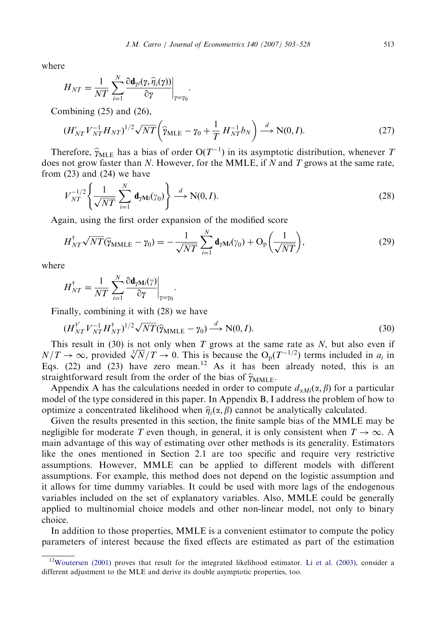.

where

$$
H_{NT} = \frac{1}{NT} \sum_{i=1}^{N} \frac{\partial \mathbf{d}_{\gamma i}(\gamma, \widehat{\eta}_{i}(\gamma))}{\partial \gamma} \bigg|_{\gamma = \gamma_{0}}
$$

Combining (25) and (26),

$$
(H'_{NT}V_{NT}^{-1}H_{NT})^{1/2}\sqrt{NT}\left(\hat{\gamma}_{MLE}-\gamma_0+\frac{1}{T}H_{NT}^{-1}b_N\right)\stackrel{d}{\longrightarrow}N(0,I). \tag{27}
$$

Therefore,  $\hat{\gamma}_{MLE}$  has a bias of order  $O(T^{-1})$  in its asymptotic distribution, whenever T does not grow faster than N. However, for the MMLE, if N and T grows at the same rate, from  $(23)$  and  $(24)$  we have

$$
V_{NT}^{-1/2}\left\{\frac{1}{\sqrt{NT}}\sum_{i=1}^{N}\mathbf{d}_{\gamma\mathbf{M}i}(\gamma_{0})\right\} \stackrel{d}{\longrightarrow} \mathcal{N}(0,I). \tag{28}
$$

Again, using the first order expansion of the modified score

.

$$
H_{NT}^{\dagger} \sqrt{NT}(\widehat{\gamma}_{\text{MMLE}} - \gamma_0) = -\frac{1}{\sqrt{NT}} \sum_{i=1}^{N} \mathbf{d}_{\gamma \mathbf{M} i}(\gamma_0) + \mathcal{O}_{p}\left(\frac{1}{\sqrt{NT}}\right),\tag{29}
$$

where

$$
H_{NT}^{\dagger} = \frac{1}{NT} \sum_{i=1}^{N} \frac{\partial \mathbf{d}_{\gamma \mathbf{M} i}(\gamma)}{\partial \gamma} \bigg|_{\gamma = \gamma_0}
$$

Finally, combining it with (28) we have

$$
(H_{NT}^{\dagger'} V_{NT}^{-1} H_{NT}^{\dagger})^{1/2} \sqrt{NT} (\widehat{\gamma}_{\text{MMLE}} - \gamma_0) \stackrel{d}{\longrightarrow} \mathcal{N}(0, I). \tag{30}
$$

This result in  $(30)$  is not only when T grows at the same rate as N, but also even if This result in (50) is not only when T grows at the same rate as N, but also even in  $N/T \to \infty$ , provided  $\sqrt[3]{N}/T \to 0$ . This is because the  $O_p(T^{-1/2})$  terms included in  $a_i$  in Eqs. (22) and (23) have zero mean.<sup>12</sup> As it has been already noted, this is an straightforward result from the order of the bias of  $\hat{\gamma}_{MMIF}$ .

Appendix A has the calculations needed in order to compute  $d_{\alpha M i}(\alpha, \beta)$  for a particular model of the type considered in this paper. In Appendix B, I address the problem of how to optimize a concentrated likelihood when  $\hat{\eta}_i(\alpha, \beta)$  cannot be analytically calculated.

Given the results presented in this section, the finite sample bias of the MMLE may be negligible for moderate T even though, in general, it is only consistent when  $T \to \infty$ . A. main advantage of this way of estimating over other methods is its generality. Estimators like the ones mentioned in Section 2.1 are too specific and require very restrictive assumptions. However, MMLE can be applied to different models with different assumptions. For example, this method does not depend on the logistic assumption and it allows for time dummy variables. It could be used with more lags of the endogenous variables included on the set of explanatory variables. Also, MMLE could be generally applied to multinomial choice models and other non-linear model, not only to binary choice.

In addition to those properties, MMLE is a convenient estimator to compute the policy parameters of interest because the fixed effects are estimated as part of the estimation

<sup>&</sup>lt;sup>12</sup>Woutersen (2001) proves that result for the integrated likelihood estimator. [Li et al. \(2003\)](#page-25-0), consider a different adjustment to the MLE and derive its double asymptotic properties, too.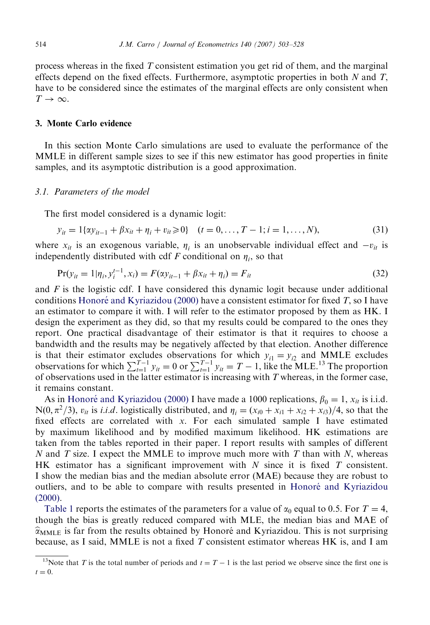process whereas in the fixed T consistent estimation you get rid of them, and the marginal effects depend on the fixed effects. Furthermore, asymptotic properties in both  $N$  and  $T$ , have to be considered since the estimates of the marginal effects are only consistent when  $T \rightarrow \infty$ .

## 3. Monte Carlo evidence

In this section Monte Carlo simulations are used to evaluate the performance of the MMLE in different sample sizes to see if this new estimator has good properties in finite samples, and its asymptotic distribution is a good approximation.

## 3.1. Parameters of the model

The first model considered is a dynamic logit:

$$
y_{it} = 1\{\alpha y_{it-1} + \beta x_{it} + \eta_i + v_{it} \ge 0\} \quad (t = 0, \dots, T - 1; i = 1, \dots, N),
$$
\n(31)

where  $x_{it}$  is an exogenous variable,  $\eta_i$  is an unobservable individual effect and  $-v_{it}$  is independently distributed with cdf F conditional on  $\eta_i$ , so that

$$
Pr(y_{it} = 1 | \eta_i, y_i^{t-1}, x_i) = F(\alpha y_{it-1} + \beta x_{it} + \eta_i) = F_{it}
$$
\n(32)

and  $F$  is the logistic cdf. I have considered this dynamic logit because under additional conditions Honoré [and Kyriazidou \(2000\)](#page-25-0) have a consistent estimator for fixed  $T$ , so I have an estimator to compare it with. I will refer to the estimator proposed by them as HK. I design the experiment as they did, so that my results could be compared to the ones they report. One practical disadvantage of their estimator is that it requires to choose a bandwidth and the results may be negatively affected by that election. Another difference is that their estimator excludes observations for which  $y_{i1} = y_{i2}$  and MMLE excludes observations for which  $\sum_{t=1}^{T-1} y_{it} = 0$  or  $\sum_{t=1}^{T-1} y_{it} = T - 1$ , like the MLE.<sup>13</sup> The proportion of observations used in the latter estimator is increasing with T whereas, in the former case, it remains constant.

As in Honoré [and Kyriazidou \(2000\)](#page-25-0) I have made a 1000 replications,  $\beta_0 = 1$ ,  $x_{it}$  is i.i.d. N $(0, \pi^2/3)$ ,  $v_{it}$  is *i.i.d.* logistically distributed, and  $\eta_i = (x_{i0} + x_{i1} + x_{i2} + x_{i3})/4$ , so that the fixed effects are correlated with  $x$ . For each simulated sample I have estimated by maximum likelihood and by modified maximum likelihood. HK estimations are taken from the tables reported in their paper. I report results with samples of different N and T size. I expect the MMLE to improve much more with T than with N, whereas HK estimator has a significant improvement with  $N$  since it is fixed  $T$  consistent. I show the median bias and the median absolute error (MAE) because they are robust to outliers, and to be able to compare with results presented in Honoré [and Kyriazidou](#page-25-0) [\(2000\).](#page-25-0)

[Table 1](#page-12-0) reports the estimates of the parameters for a value of  $\alpha_0$  equal to 0.5. For  $T = 4$ , though the bias is greatly reduced compared with MLE, the median bias and MAE of  $\hat{\alpha}_{\text{MMLE}}$  is far from the results obtained by Honoré and Kyriazidou. This is not surprising because, as I said, MMLE is not a fixed T consistent estimator whereas HK is, and I am

<sup>&</sup>lt;sup>13</sup>Note that T is the total number of periods and  $t = T - 1$  is the last period we observe since the first one is  $t = 0$ .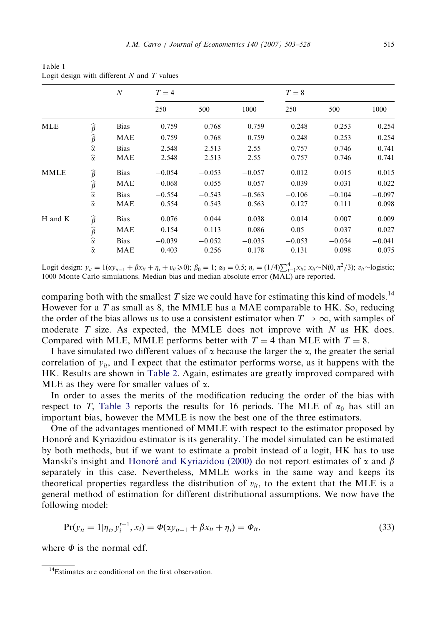|             |                                | $\overline{N}$ | $T=4$    |          |          | $T=8$    |          |          |  |
|-------------|--------------------------------|----------------|----------|----------|----------|----------|----------|----------|--|
|             |                                |                | 250      | 500      | 1000     | 250      | 500      | 1000     |  |
| <b>MLE</b>  | $\widehat{\beta}$              | <b>Bias</b>    | 0.759    | 0.768    | 0.759    | 0.248    | 0.253    | 0.254    |  |
|             | $\widehat{\boldsymbol{\beta}}$ | <b>MAE</b>     | 0.759    | 0.768    | 0.759    | 0.248    | 0.253    | 0.254    |  |
|             | $\widehat{\alpha}$             | <b>Bias</b>    | $-2.548$ | $-2.513$ | $-2.55$  | $-0.757$ | $-0.746$ | $-0.741$ |  |
|             | $\widehat{\alpha}$             | <b>MAE</b>     | 2.548    | 2.513    | 2.55     | 0.757    | 0.746    | 0.741    |  |
| <b>MMLE</b> | $\widehat{\beta}$              | <b>Bias</b>    | $-0.054$ | $-0.053$ | $-0.057$ | 0.012    | 0.015    | 0.015    |  |
|             | $\widehat{\boldsymbol{\beta}}$ | <b>MAE</b>     | 0.068    | 0.055    | 0.057    | 0.039    | 0.031    | 0.022    |  |
|             | $\widehat{\alpha}$             | <b>Bias</b>    | $-0.554$ | $-0.543$ | $-0.563$ | $-0.106$ | $-0.104$ | $-0.097$ |  |
|             | $\widehat{\alpha}$             | <b>MAE</b>     | 0.554    | 0.543    | 0.563    | 0.127    | 0.111    | 0.098    |  |
| H and K     | $\widehat{\beta}$              | <b>Bias</b>    | 0.076    | 0.044    | 0.038    | 0.014    | 0.007    | 0.009    |  |
|             | $\widehat{\boldsymbol{\beta}}$ | <b>MAE</b>     | 0.154    | 0.113    | 0.086    | 0.05     | 0.037    | 0.027    |  |
|             | $\widehat{\alpha}$             | <b>Bias</b>    | $-0.039$ | $-0.052$ | $-0.035$ | $-0.053$ | $-0.054$ | $-0.041$ |  |
|             | $\widehat{\alpha}$             | <b>MAE</b>     | 0.403    | 0.256    | 0.178    | 0.131    | 0.098    | 0.075    |  |

<span id="page-12-0"></span>Table 1 Logit design with different  $N$  and  $T$  values

Logit design:  $y_{it} = 1(\alpha y_{it-1} + \beta x_{it} + \eta_i + v_{it} \ge 0)$ ;  $\beta_0 = 1$ ;  $\alpha_0 = 0.5$ ;  $\eta_i = (1/4)\sum_{t=1}^4 x_{it}$ ;  $x_{it} \sim N(0, \pi^2/3)$ ;  $v_{it} \sim$ logistic; 1000 Monte Carlo simulations. Median bias and median absolute error (MAE) are reported.

comparing both with the smallest T size we could have for estimating this kind of models.<sup>14</sup> However for a T as small as 8, the MMLE has a MAE comparable to HK. So, reducing the order of the bias allows us to use a consistent estimator when  $T \to \infty$ , with samples of moderate  $T$  size. As expected, the MMLE does not improve with  $N$  as HK does. Compared with MLE, MMLE performs better with  $T = 4$  than MLE with  $T = 8$ .

I have simulated two different values of  $\alpha$  because the larger the  $\alpha$ , the greater the serial correlation of  $y_{ii}$ , and I expect that the estimator performs worse, as it happens with the HK. Results are shown in [Table 2.](#page-13-0) Again, estimates are greatly improved compared with MLE as they were for smaller values of  $\alpha$ .

In order to asses the merits of the modification reducing the order of the bias with respect to T, [Table 3](#page-13-0) reports the results for 16 periods. The MLE of  $\alpha_0$  has still an important bias, however the MMLE is now the best one of the three estimators.

One of the advantages mentioned of MMLE with respect to the estimator proposed by Honoré and Kyriazidou estimator is its generality. The model simulated can be estimated by both methods, but if we want to estimate a probit instead of a logit, HK has to use Manski's insight and Honoré [and Kyriazidou \(2000\)](#page-25-0) do not report estimates of  $\alpha$  and  $\beta$ separately in this case. Nevertheless, MMLE works in the same way and keeps its theoretical properties regardless the distribution of  $v_{it}$ , to the extent that the MLE is a general method of estimation for different distributional assumptions. We now have the following model:

$$
Pr(y_{it} = 1 | \eta_i, y_i^{t-1}, x_i) = \Phi(\alpha y_{it-1} + \beta x_{it} + \eta_i) = \Phi_{it},
$$
\n(33)

where  $\Phi$  is the normal cdf.

<sup>&</sup>lt;sup>14</sup>Estimates are conditional on the first observation.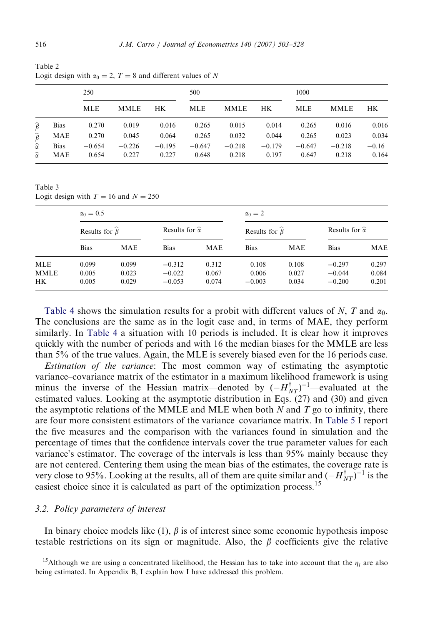|                                          |                    | 250               |                   |                   | 500               |                   |                   | 1000              |                   |                  |
|------------------------------------------|--------------------|-------------------|-------------------|-------------------|-------------------|-------------------|-------------------|-------------------|-------------------|------------------|
|                                          |                    | MLE               | MMLE              | <b>HK</b>         | MLE               | <b>MMLE</b>       | HK.               | MLE               | <b>MMLE</b>       | <b>HK</b>        |
| $\widehat{\beta}$                        | Bias               | 0.270             | 0.019             | 0.016             | 0.265             | 0.015             | 0.014             | 0.265             | 0.016             | 0.016            |
| $\widehat{\beta}$                        | MAE                | 0.270             | 0.045             | 0.064             | 0.265             | 0.032             | 0.044             | 0.265             | 0.023             | 0.034            |
| $\widehat{\alpha}$<br>$\widehat{\alpha}$ | <b>Bias</b><br>MAE | $-0.654$<br>0.654 | $-0.226$<br>0.227 | $-0.195$<br>0.227 | $-0.647$<br>0.648 | $-0.218$<br>0.218 | $-0.179$<br>0.197 | $-0.647$<br>0.647 | $-0.218$<br>0.218 | $-0.16$<br>0.164 |

<span id="page-13-0"></span>Table 2 Logit design with  $\alpha_0 = 2$ ,  $T = 8$  and different values of N

Table 3 Logit design with  $T = 16$  and  $N = 250$ 

|             | $\alpha_0 = 0.5$              |            |                            |       | $\alpha_0=2$              |       |                            |            |
|-------------|-------------------------------|------------|----------------------------|-------|---------------------------|-------|----------------------------|------------|
|             | Results for $\widehat{\beta}$ |            | Results for $\hat{\alpha}$ |       | Results for $\hat{\beta}$ |       | Results for $\hat{\alpha}$ |            |
|             | <b>Bias</b>                   | <b>MAE</b> | <b>Bias</b>                | MAE   | <b>Bias</b>               | MAE   | <b>Bias</b>                | <b>MAE</b> |
| <b>MLE</b>  | 0.099                         | 0.099      | $-0.312$                   | 0.312 | 0.108                     | 0.108 | $-0.297$                   | 0.297      |
| <b>MMLE</b> | 0.005                         | 0.023      | $-0.022$                   | 0.067 | 0.006                     | 0.027 | $-0.044$                   | 0.084      |
| <b>HK</b>   | 0.005                         | 0.029      | $-0.053$                   | 0.074 | $-0.003$                  | 0.034 | $-0.200$                   | 0.201      |

[Table 4](#page-14-0) shows the simulation results for a probit with different values of N, T and  $\alpha_0$ . The conclusions are the same as in the logit case and, in terms of MAE, they perform similarly. In [Table 4](#page-14-0) a situation with 10 periods is included. It is clear how it improves quickly with the number of periods and with 16 the median biases for the MMLE are less than 5% of the true values. Again, the MLE is severely biased even for the 16 periods case.

Estimation of the variance: The most common way of estimating the asymptotic variance–covariance matrix of the estimator in a maximum likelihood framework is using minus the inverse of the Hessian matrix—denoted by  $(-H_{NT}^{\dagger})^{-1}$ —evaluated at the estimated values. Looking at the asymptotic distribution in Eqs. (27) and (30) and given the asymptotic relations of the MMLE and MLE when both  $N$  and  $T$  go to infinity, there are four more consistent estimators of the variance–covariance matrix. In [Table 5](#page-15-0) I report the five measures and the comparison with the variances found in simulation and the percentage of times that the confidence intervals cover the true parameter values for each variance's estimator. The coverage of the intervals is less than 95% mainly because they are not centered. Centering them using the mean bias of the estimates, the coverage rate is very close to 95%. Looking at the results, all of them are quite similar and  $(-H_{NT}^{\dagger})^{-1}$  is the easiest choice since it is calculated as part of the optimization process.<sup>15</sup>

### 3.2. Policy parameters of interest

In binary choice models like  $(1)$ ,  $\beta$  is of interest since some economic hypothesis impose testable restrictions on its sign or magnitude. Also, the  $\beta$  coefficients give the relative

<sup>&</sup>lt;sup>15</sup>Although we are using a concentrated likelihood, the Hessian has to take into account that the  $\eta_i$  are also being estimated. In Appendix B, I explain how I have addressed this problem.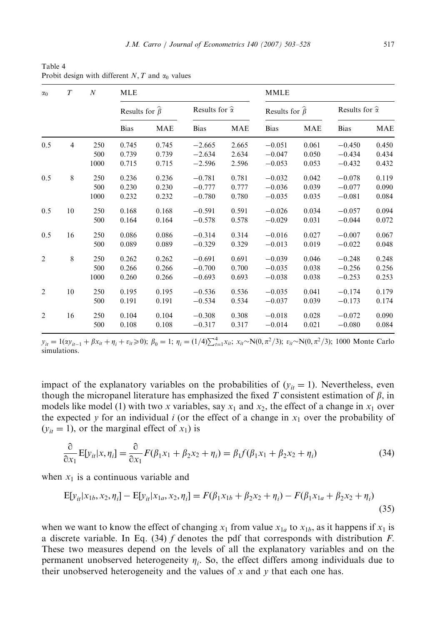| $\alpha_0$     | T              | $\boldsymbol{N}$ | MLE                 |            |             | <b>MMLE</b>                |             |                               |             |                            |
|----------------|----------------|------------------|---------------------|------------|-------------|----------------------------|-------------|-------------------------------|-------------|----------------------------|
|                |                |                  | Results for $\beta$ |            |             | Results for $\hat{\alpha}$ |             | Results for $\widehat{\beta}$ |             | Results for $\hat{\alpha}$ |
|                |                |                  | <b>Bias</b>         | <b>MAE</b> | <b>Bias</b> | <b>MAE</b>                 | <b>Bias</b> | <b>MAE</b>                    | <b>Bias</b> | <b>MAE</b>                 |
| 0.5            | $\overline{4}$ | 250              | 0.745               | 0.745      | $-2.665$    | 2.665                      | $-0.051$    | 0.061                         | $-0.450$    | 0.450                      |
|                |                | 500              | 0.739               | 0.739      | $-2.634$    | 2.634                      | $-0.047$    | 0.050                         | $-0.434$    | 0.434                      |
|                |                | 1000             | 0.715               | 0.715      | $-2.596$    | 2.596                      | $-0.053$    | 0.053                         | $-0.432$    | 0.432                      |
| 0.5            | 8              | 250              | 0.236               | 0.236      | $-0.781$    | 0.781                      | $-0.032$    | 0.042                         | $-0.078$    | 0.119                      |
|                |                | 500              | 0.230               | 0.230      | $-0.777$    | 0.777                      | $-0.036$    | 0.039                         | $-0.077$    | 0.090                      |
|                |                | 1000             | 0.232               | 0.232      | $-0.780$    | 0.780                      | $-0.035$    | 0.035                         | $-0.081$    | 0.084                      |
| 0.5            | 10             | 250              | 0.168               | 0.168      | $-0.591$    | 0.591                      | $-0.026$    | 0.034                         | $-0.057$    | 0.094                      |
|                |                | 500              | 0.164               | 0.164      | $-0.578$    | 0.578                      | $-0.029$    | 0.031                         | $-0.044$    | 0.072                      |
| 0.5            | 16             | 250              | 0.086               | 0.086      | $-0.314$    | 0.314                      | $-0.016$    | 0.027                         | $-0.007$    | 0.067                      |
|                |                | 500              | 0.089               | 0.089      | $-0.329$    | 0.329                      | $-0.013$    | 0.019                         | $-0.022$    | 0.048                      |
| 2              | 8              | 250              | 0.262               | 0.262      | $-0.691$    | 0.691                      | $-0.039$    | 0.046                         | $-0.248$    | 0.248                      |
|                |                | 500              | 0.266               | 0.266      | $-0.700$    | 0.700                      | $-0.035$    | 0.038                         | $-0.256$    | 0.256                      |
|                |                | 1000             | 0.260               | 0.266      | $-0.693$    | 0.693                      | $-0.038$    | 0.038                         | $-0.253$    | 0.253                      |
| 2              | 10             | 250              | 0.195               | 0.195      | $-0.536$    | 0.536                      | $-0.035$    | 0.041                         | $-0.174$    | 0.179                      |
|                |                | 500              | 0.191               | 0.191      | $-0.534$    | 0.534                      | $-0.037$    | 0.039                         | $-0.173$    | 0.174                      |
| $\overline{2}$ | 16             | 250              | 0.104               | 0.104      | $-0.308$    | 0.308                      | $-0.018$    | 0.028                         | $-0.072$    | 0.090                      |
|                |                | 500              | 0.108               | 0.108      | $-0.317$    | 0.317                      | $-0.014$    | 0.021                         | $-0.080$    | 0.084                      |
|                |                |                  |                     |            |             |                            |             |                               |             |                            |

<span id="page-14-0"></span>Table 4 Probit design with different N, T and  $\alpha_0$  values

 $y_{it} = 1(\alpha y_{it-1} + \beta x_{it} + \eta_i + v_{it} \ge 0); \ \beta_0 = 1; \ \eta_i = (1/4) \sum_{t=1}^4 x_{it}; \ x_{it} \sim N(0, \pi^2/3); \ v_{it} \sim N(0, \pi^2/3); \ 1000$  Monte Carlo simulations.

impact of the explanatory variables on the probabilities of  $(y_{it} = 1)$ . Nevertheless, even though the micropanel literature has emphasized the fixed T consistent estimation of  $\beta$ , in models like model (1) with two x variables, say  $x_1$  and  $x_2$ , the effect of a change in  $x_1$  over the expected y for an individual i (or the effect of a change in  $x_1$  over the probability of  $(y_{it} = 1)$ , or the marginal effect of  $x_1$ ) is

$$
\frac{\partial}{\partial x_1} E[y_{ii}|x, \eta_i] = \frac{\partial}{\partial x_1} F(\beta_1 x_1 + \beta_2 x_2 + \eta_i) = \beta_1 f(\beta_1 x_1 + \beta_2 x_2 + \eta_i)
$$
(34)

when  $x_1$  is a continuous variable and

$$
E[y_{it}|x_{1b}, x_2, \eta_i] - E[y_{it}|x_{1a}, x_2, \eta_i] = F(\beta_1 x_{1b} + \beta_2 x_2 + \eta_i) - F(\beta_1 x_{1a} + \beta_2 x_2 + \eta_i)
$$
\n(35)

when we want to know the effect of changing  $x_1$  from value  $x_{1a}$  to  $x_{1b}$ , as it happens if  $x_1$  is a discrete variable. In Eq.  $(34)$  f denotes the pdf that corresponds with distribution F. These two measures depend on the levels of all the explanatory variables and on the permanent unobserved heterogeneity  $\eta_i$ . So, the effect differs among individuals due to their unobserved heterogeneity and the values of  $x$  and  $y$  that each one has.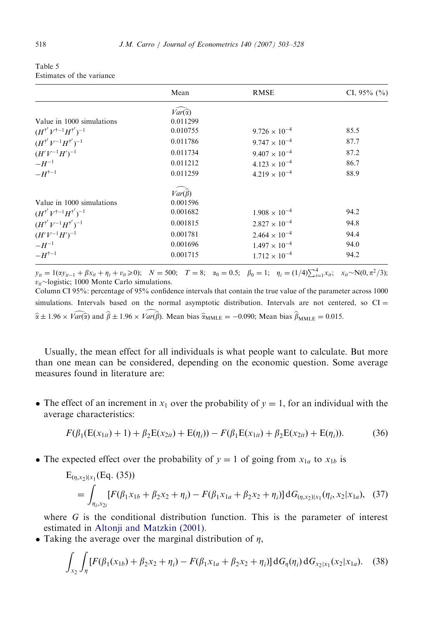|                                                | Mean                    | <b>RMSE</b>            | CI, 95% $(\%$ |
|------------------------------------------------|-------------------------|------------------------|---------------|
|                                                | $\widehat{Var(\alpha)}$ |                        |               |
| Value in 1000 simulations                      | 0.011299                |                        |               |
| $(H^{\dagger'}V^{\dagger-1}H^{\dagger'})^{-1}$ | 0.010755                | $9.726 \times 10^{-4}$ | 85.5          |
| $(H^{\dagger'}V^{-1}H^{\dagger'})^{-1}$        | 0.011786                | $9.747 \times 10^{-4}$ | 87.7          |
| $(H'V^{-1}H')^{-1}$                            | 0.011734                | $9.407 \times 10^{-4}$ | 87.2          |
| $-H^{-1}$                                      | 0.011212                | $4.123 \times 10^{-4}$ | 86.7          |
| $-H^{\dagger-1}$                               | 0.011259                | $4.219 \times 10^{-4}$ | 88.9          |
|                                                | $\widehat{Var(\beta)}$  |                        |               |
| Value in 1000 simulations                      | 0.001596                |                        |               |
| $(H^{\dagger'}V^{\dagger-1}H^{\dagger'})^{-1}$ | 0.001682                | $1.908 \times 10^{-4}$ | 94.2          |
| $(H^{\dagger'}V^{-1}H^{\dagger'})^{-1}$        | 0.001815                | $2.827 \times 10^{-4}$ | 94.8          |
| $(H'V^{-1}H')^{-1}$                            | 0.001781                | $2.464 \times 10^{-4}$ | 94.4          |
| $-H^{-1}$                                      | 0.001696                | $1.497 \times 10^{-4}$ | 94.0          |
| $-H^{\dagger -1}$                              | 0.001715                | $1.712 \times 10^{-4}$ | 94.2          |

<span id="page-15-0"></span>Table 5 Estimates of the variance

 $y_{it} = 1(\alpha y_{it-1} + \beta x_{it} + \eta_i + v_{it} \ge 0); \quad N = 500; \quad T = 8; \quad \alpha_0 = 0.5; \quad \beta_0 = 1; \quad \eta_i = (1/4)\sum_{t=1}^4 x_{it}; \quad x_{it} \sim N(0, \pi^2/3);$  $v_{it}$ ~logistic; 1000 Monte Carlo simulations.

Column CI 95%: percentage of 95% confidence intervals that contain the true value of the parameter across 1000 simulations. Intervals based on the normal asymptotic distribution. Intervals are not centered, so  $CI =$  $\hat{\alpha} \pm 1.96 \times \widehat{Var(\hat{\alpha})}$  and  $\hat{\beta} \pm 1.96 \times \widehat{Var(\hat{\beta})}$ . Mean bias  $\hat{\alpha}_{\text{MMLE}} = -0.090$ ; Mean bias  $\hat{\beta}_{\text{MMLE}} = 0.015$ .

Usually, the mean effect for all individuals is what people want to calculate. But more than one mean can be considered, depending on the economic question. Some average measures found in literature are:

• The effect of an increment in  $x_1$  over the probability of  $y = 1$ , for an individual with the average characteristics:

$$
F(\beta_1(E(x_{1it}) + 1) + \beta_2 E(x_{2it}) + E(\eta_i)) - F(\beta_1 E(x_{1it}) + \beta_2 E(x_{2it}) + E(\eta_i)).
$$
 (36)

• The expected effect over the probability of  $y = 1$  of going from  $x_{1a}$  to  $x_{1b}$  is

$$
E_{(\eta, x_2)|x_1}(Eq. (35))
$$
  
=  $\int_{\eta_i, x_{2i}} [F(\beta_1 x_{1b} + \beta_2 x_2 + \eta_i) - F(\beta_1 x_{1a} + \beta_2 x_2 + \eta_i)] dG_{(\eta, x_2)|x_1}(\eta_i, x_2|x_{1a}),$  (37)

where  $G$  is the conditional distribution function. This is the parameter of interest estimated in [Altonji and Matzkin \(2001\)](#page-24-0).

• Taking the average over the marginal distribution of  $\eta$ ,

$$
\int_{x_2} \int_{\eta} \left[ F(\beta_1(x_{1b}) + \beta_2 x_2 + \eta_i) - F(\beta_1 x_{1a} + \beta_2 x_2 + \eta_i) \right] dG_{\eta}(\eta_i) dG_{x_2|x_1}(x_2|x_{1a}). \tag{38}
$$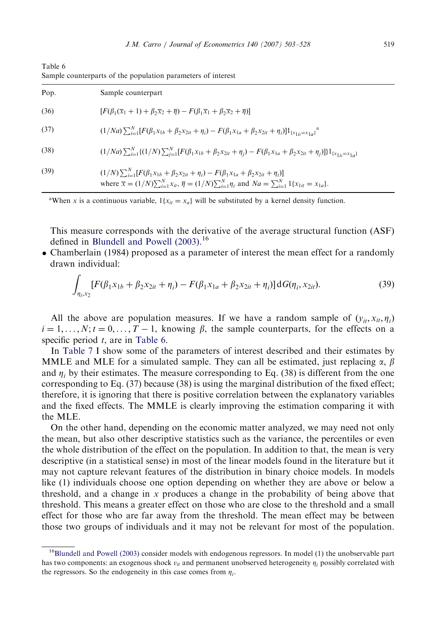| bampic counterparts of the population parameters of intercat |                                                                                                                                                                                                                                                |  |  |  |
|--------------------------------------------------------------|------------------------------------------------------------------------------------------------------------------------------------------------------------------------------------------------------------------------------------------------|--|--|--|
| Pop.                                                         | Sample counterpart                                                                                                                                                                                                                             |  |  |  |
| (36)                                                         | $[F(\beta_1(\overline{x}_1+1)+\beta_2\overline{x}_2+\overline{\eta})-F(\beta_1\overline{x}_1+\beta_2\overline{x}_2+\overline{\eta})]$                                                                                                          |  |  |  |
| (37)                                                         | $(1/Na)\sum_{i=1}^{N}[F(\beta_1x_{1b}+\beta_2x_{2it}+\eta_i)-F(\beta_1x_{1a}+\beta_2x_{2it}+\eta_i)]1_{\{x_{1i}=x_{1a}\}}^{R}$                                                                                                                 |  |  |  |
| (38)                                                         | $(1/Na) \sum_{i=1}^{N} \{(1/N) \sum_{i=1}^{N} [F(\beta_1 x_{1b} + \beta_2 x_{2it} + \eta_j) - F(\beta_1 x_{1a} + \beta_2 x_{2it} + \eta_j)]\}1_{\{x_{1it} = x_{1a}\}}$                                                                         |  |  |  |
| (39)                                                         | $(1/N)\sum_{i=1}^{N}[F(\beta_1x_{1b}+\beta_2x_{2it}+\eta_i)-F(\beta_1x_{1a}+\beta_2x_{2it}+\eta_i)]$<br>where $\bar{x} = (1/N)\sum_{i=1}^{N} x_{it}, \bar{\eta} = (1/N)\sum_{i=1}^{N} \eta_i$ and $Na = \sum_{i=1}^{N} 1\{x_{1it} = x_{1a}\}.$ |  |  |  |

<span id="page-16-0"></span>Table 6 Sample counterparts of the population parameters of interest

<sup>a</sup>When x is a continuous variable,  $1\{x_{it} = x_a\}$  will be substituted by a kernel density function.

This measure corresponds with the derivative of the average structural function (ASF) defined in [Blundell and Powell \(2003\)](#page-24-0). 16

 Chamberlain (1984) proposed as a parameter of interest the mean effect for a randomly drawn individual:

$$
\int_{\eta_i, x_2} [F(\beta_1 x_{1b} + \beta_2 x_{2it} + \eta_i) - F(\beta_1 x_{1a} + \beta_2 x_{2it} + \eta_i)] \, dG(\eta_i, x_{2it}). \tag{39}
$$

All the above are population measures. If we have a random sample of  $(y_{ii}, x_{it}, \eta_i)$  $i = 1, \ldots, N; t = 0, \ldots, T-1$ , knowing  $\beta$ , the sample counterparts, for the effects on a specific period  $t$ , are in Table 6.

In [Table 7](#page-17-0) I show some of the parameters of interest described and their estimates by MMLE and MLE for a simulated sample. They can all be estimated, just replacing  $\alpha$ ,  $\beta$ and  $\eta_i$  by their estimates. The measure corresponding to Eq. (38) is different from the one corresponding to Eq. (37) because (38) is using the marginal distribution of the fixed effect; therefore, it is ignoring that there is positive correlation between the explanatory variables and the fixed effects. The MMLE is clearly improving the estimation comparing it with the MLE.

On the other hand, depending on the economic matter analyzed, we may need not only the mean, but also other descriptive statistics such as the variance, the percentiles or even the whole distribution of the effect on the population. In addition to that, the mean is very descriptive (in a statistical sense) in most of the linear models found in the literature but it may not capture relevant features of the distribution in binary choice models. In models like (1) individuals choose one option depending on whether they are above or below a threshold, and a change in  $x$  produces a change in the probability of being above that threshold. This means a greater effect on those who are close to the threshold and a small effect for those who are far away from the threshold. The mean effect may be between those two groups of individuals and it may not be relevant for most of the population.

<sup>&</sup>lt;sup>16</sup>Blundell and Powell (2003) consider models with endogenous regressors. In model (1) the unobservable part has two components: an exogenous shock  $v_{it}$  and permanent unobserved heterogeneity  $\eta_i$  possibly correlated with the regressors. So the endogeneity in this case comes from  $\eta_i$ .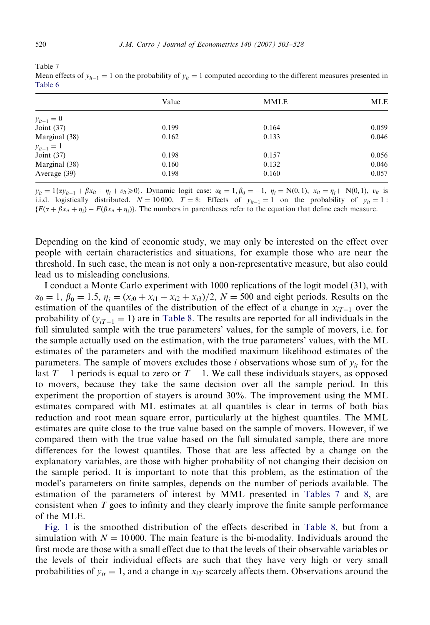| .              |       |             |            |  |  |
|----------------|-------|-------------|------------|--|--|
|                | Value | <b>MMLE</b> | <b>MLE</b> |  |  |
| $y_{it-1} = 0$ |       |             |            |  |  |
| Joint $(37)$   | 0.199 | 0.164       | 0.059      |  |  |
| Marginal (38)  | 0.162 | 0.133       | 0.046      |  |  |
| $y_{it-1} = 1$ |       |             |            |  |  |
| Joint $(37)$   | 0.198 | 0.157       | 0.056      |  |  |
| Marginal (38)  | 0.160 | 0.132       | 0.046      |  |  |

Mean effects of  $y_{it-1} = 1$  on the probability of  $y_{it} = 1$  computed according to the different measures presented in [Table 6](#page-16-0)

 $y_{it} = 1\{\alpha y_{it-1} + \beta x_{it} + \eta_i + v_{it} \ge 0\}$ . Dynamic logit case:  $\alpha_0 = 1, \beta_0 = -1, \eta_i = N(0, 1), x_{it} = \eta_i + N(0, 1), v_{it}$  is i.i.d. logistically distributed.  $N = 10000$ ,  $T = 8$ : Effects of  $y_{i-1} = 1$  on the probability of  $y_{i} = 1$ :  $\{F(\alpha + \beta x_{it} + \eta_i) - F(\beta x_{it} + \eta_i)\}\.$  The numbers in parentheses refer to the equation that define each measure.

Average (39) 0.198 0.198 0.160 0.057

Depending on the kind of economic study, we may only be interested on the effect over people with certain characteristics and situations, for example those who are near the threshold. In such case, the mean is not only a non-representative measure, but also could lead us to misleading conclusions.

I conduct a Monte Carlo experiment with 1000 replications of the logit model (31), with  $\alpha_0 = 1$ ,  $\beta_0 = 1.5$ ,  $\eta_i = (x_{i0} + x_{i1} + x_{i2} + x_{i3})/2$ ,  $N = 500$  and eight periods. Results on the estimation of the quantiles of the distribution of the effect of a change in  $x_{iT-1}$  over the probability of  $(y_{iT-1} = 1)$  are in [Table 8](#page-18-0). The results are reported for all individuals in the full simulated sample with the true parameters' values, for the sample of movers, i.e. for the sample actually used on the estimation, with the true parameters' values, with the ML estimates of the parameters and with the modified maximum likelihood estimates of the parameters. The sample of movers excludes those i observations whose sum of  $y_{ii}$  for the last  $T-1$  periods is equal to zero or  $T-1$ . We call these individuals stayers, as opposed to movers, because they take the same decision over all the sample period. In this experiment the proportion of stayers is around 30%. The improvement using the MML estimates compared with ML estimates at all quantiles is clear in terms of both bias reduction and root mean square error, particularly at the highest quantiles. The MML estimates are quite close to the true value based on the sample of movers. However, if we compared them with the true value based on the full simulated sample, there are more differences for the lowest quantiles. Those that are less affected by a change on the explanatory variables, are those with higher probability of not changing their decision on the sample period. It is important to note that this problem, as the estimation of the model's parameters on finite samples, depends on the number of periods available. The estimation of the parameters of interest by MML presented in Tables 7 and [8](#page-18-0), are consistent when T goes to infinity and they clearly improve the finite sample performance of the MLE.

[Fig. 1](#page-18-0) is the smoothed distribution of the effects described in [Table 8](#page-18-0), but from a simulation with  $N = 10000$ . The main feature is the bi-modality. Individuals around the first mode are those with a small effect due to that the levels of their observable variables or the levels of their individual effects are such that they have very high or very small probabilities of  $y_{ii} = 1$ , and a change in  $x_{iT}$  scarcely affects them. Observations around the

<span id="page-17-0"></span>Table 7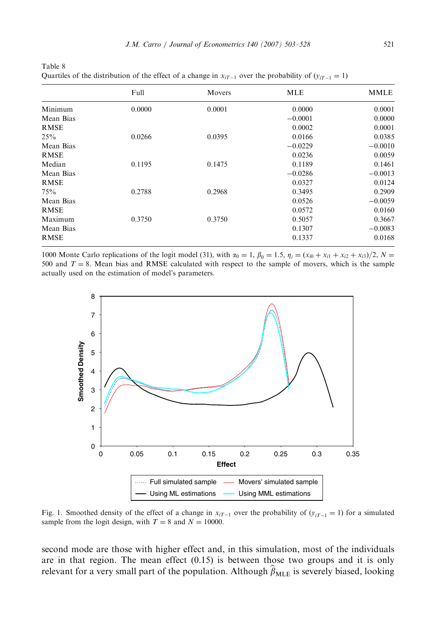|             | Full   | Movers | <b>MLE</b> | <b>MMLE</b> |
|-------------|--------|--------|------------|-------------|
| Minimum     | 0.0000 | 0.0001 | 0.0000     | 0.0001      |
| Mean Bias   |        |        | $-0.0001$  | 0.0000      |
| <b>RMSE</b> |        |        | 0.0002     | 0.0001      |
| 25%         | 0.0266 | 0.0395 | 0.0166     | 0.0385      |
| Mean Bias   |        |        | $-0.0229$  | $-0.0010$   |
| <b>RMSE</b> |        |        | 0.0236     | 0.0059      |
| Median      | 0.1195 | 0.1475 | 0.1189     | 0.1461      |
| Mean Bias   |        |        | $-0.0286$  | $-0.0013$   |
| <b>RMSE</b> |        |        | 0.0327     | 0.0124      |
| 75%         | 0.2788 | 0.2968 | 0.3495     | 0.2909      |
| Mean Bias   |        |        | 0.0526     | $-0.0059$   |
| <b>RMSE</b> |        |        | 0.0572     | 0.0160      |
| Maximum     | 0.3750 | 0.3750 | 0.5057     | 0.3667      |
| Mean Bias   |        |        | 0.1307     | $-0.0083$   |
| <b>RMSE</b> |        |        | 0.1337     | 0.0168      |
|             |        |        |            |             |

<span id="page-18-0"></span>Table 8 Quartiles of the distribution of the effect of a change in  $x_{iT-1}$  over the probability of  $(y_{iT-1} = 1)$ 

1000 Monte Carlo replications of the logit model (31), with  $\alpha_0 = 1$ ,  $\beta_0 = 1.5$ ,  $\eta_i = (x_{i0} + x_{i1} + x_{i2} + x_{i3})/2$ ,  $N =$ 500 and  $T = 8$ . Mean bias and RMSE calculated with respect to the sample of movers, which is the sample actually used on the estimation of model's parameters.



Fig. 1. Smoothed density of the effect of a change in  $x_{iT-1}$  over the probability of  $(y_{iT-1} = 1)$  for a simulated sample from the logit design, with  $T = 8$  and  $N = 10000$ .

second mode are those with higher effect and, in this simulation, most of the individuals are in that region. The mean effect  $(0.15)$  is between those two groups and it is only relevant for a very small part of the population. Although  $\hat{\beta}_{MLE}$  is severely biased, looking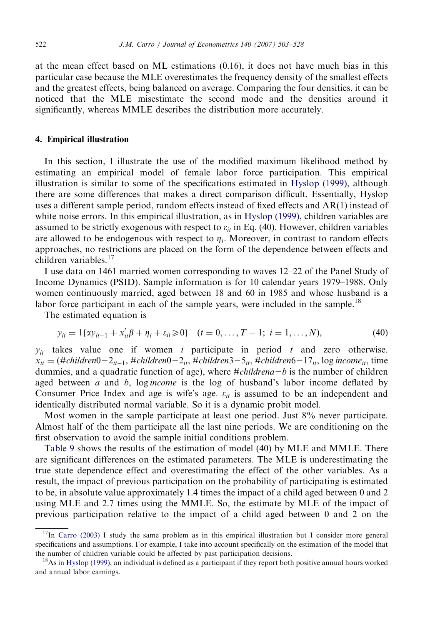at the mean effect based on ML estimations (0:16), it does not have much bias in this particular case because the MLE overestimates the frequency density of the smallest effects and the greatest effects, being balanced on average. Comparing the four densities, it can be noticed that the MLE misestimate the second mode and the densities around it significantly, whereas MMLE describes the distribution more accurately.

## 4. Empirical illustration

In this section, I illustrate the use of the modified maximum likelihood method by estimating an empirical model of female labor force participation. This empirical illustration is similar to some of the specifications estimated in [Hyslop \(1999\),](#page-25-0) although there are some differences that makes a direct comparison difficult. Essentially, Hyslop uses a different sample period, random effects instead of fixed effects and AR(1) instead of white noise errors. In this empirical illustration, as in [Hyslop \(1999\),](#page-25-0) children variables are assumed to be strictly exogenous with respect to  $\varepsilon_{it}$  in Eq. (40). However, children variables are allowed to be endogenous with respect to  $\eta_i$ . Moreover, in contrast to random effects approaches, no restrictions are placed on the form of the dependence between effects and children variables.<sup>17</sup>

I use data on 1461 married women corresponding to waves 12–22 of the Panel Study of Income Dynamics (PSID). Sample information is for 10 calendar years 1979–1988. Only women continuously married, aged between 18 and 60 in 1985 and whose husband is a labor force participant in each of the sample years, were included in the sample.<sup>18</sup>

The estimated equation is

$$
y_{it} = 1\{\alpha y_{it-1} + x_{it}'\beta + \eta_i + \varepsilon_{it} \ge 0\} \quad (t = 0, \dots, T - 1; \ i = 1, \dots, N),
$$
 (40)

 $y_{it}$  takes value one if women *i* participate in period *t* and zero otherwise.  $x_{it} = (\text{\#children0} - 2_{it-1}, \text{\#children0} - 2_{it}, \text{\#children3} - 5_{it}, \text{\#children6} - 17_{it}, \log income_{it}, \text{time})$ dummies, and a quadratic function of age), where  $\#childrena-b$  is the number of children aged between  $a$  and  $b$ , log *income* is the log of husband's labor income deflated by Consumer Price Index and age is wife's age.  $\varepsilon_{it}$  is assumed to be an independent and identically distributed normal variable. So it is a dynamic probit model.

Most women in the sample participate at least one period. Just 8% never participate. Almost half of the them participate all the last nine periods. We are conditioning on the first observation to avoid the sample initial conditions problem.

[Table 9](#page-20-0) shows the results of the estimation of model (40) by MLE and MMLE. There are significant differences on the estimated parameters. The MLE is underestimating the true state dependence effect and overestimating the effect of the other variables. As a result, the impact of previous participation on the probability of participating is estimated to be, in absolute value approximately 1.4 times the impact of a child aged between 0 and 2 using MLE and 2.7 times using the MMLE. So, the estimate by MLE of the impact of previous participation relative to the impact of a child aged between 0 and 2 on the

 $17$ In [Carro \(2003\)](#page-24-0) I study the same problem as in this empirical illustration but I consider more general specifications and assumptions. For example, I take into account specifically on the estimation of the model that the number of children variable could be affected by past participation decisions.<br><sup>18</sup>As in [Hyslop \(1999\),](#page-25-0) an individual is defined as a participant if they report both positive annual hours worked

and annual labor earnings.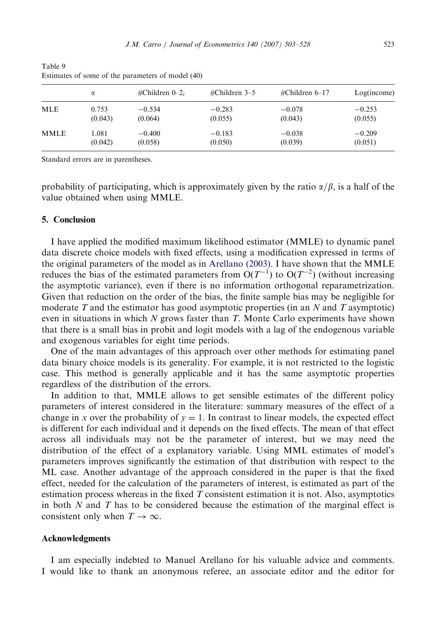|             | α       | #Children $0-2t$ | $\#$ Children 3–5 | $\#$ Children 6–17 | Log(income) |
|-------------|---------|------------------|-------------------|--------------------|-------------|
| <b>MLE</b>  | 0.753   | $-0.534$         | $-0.283$          | $-0.078$           | $-0.253$    |
|             | (0.043) | (0.064)          | (0.055)           | (0.043)            | (0.055)     |
| <b>MMLE</b> | 1.081   | $-0.400$         | $-0.183$          | $-0.038$           | $-0.209$    |
|             | (0.042) | (0.058)          | (0.050)           | (0.039)            | (0.051)     |

<span id="page-20-0"></span>Table 9 Estimates of some of the parameters of model (40)

Standard errors are in parentheses.

probability of participating, which is approximately given by the ratio  $\alpha/\beta$ , is a half of the value obtained when using MMLE.

# 5. Conclusion

I have applied the modified maximum likelihood estimator (MMLE) to dynamic panel data discrete choice models with fixed effects, using a modification expressed in terms of the original parameters of the model as in [Arellano \(2003\)](#page-24-0). I have shown that the MMLE reduces the bias of the estimated parameters from  $O(T^{-1})$  to  $O(T^{-2})$  (without increasing the asymptotic variance), even if there is no information orthogonal reparametrization. Given that reduction on the order of the bias, the finite sample bias may be negligible for moderate  $T$  and the estimator has good asymptotic properties (in an  $N$  and  $T$  asymptotic) even in situations in which  $N$  grows faster than  $T$ . Monte Carlo experiments have shown that there is a small bias in probit and logit models with a lag of the endogenous variable and exogenous variables for eight time periods.

One of the main advantages of this approach over other methods for estimating panel data binary choice models is its generality. For example, it is not restricted to the logistic case. This method is generally applicable and it has the same asymptotic properties regardless of the distribution of the errors.

In addition to that, MMLE allows to get sensible estimates of the different policy parameters of interest considered in the literature: summary measures of the effect of a change in x over the probability of  $y = 1$ . In contrast to linear models, the expected effect is different for each individual and it depends on the fixed effects. The mean of that effect across all individuals may not be the parameter of interest, but we may need the distribution of the effect of a explanatory variable. Using MML estimates of model's parameters improves significantly the estimation of that distribution with respect to the ML case. Another advantage of the approach considered in the paper is that the fixed effect, needed for the calculation of the parameters of interest, is estimated as part of the estimation process whereas in the fixed  $T$  consistent estimation it is not. Also, asymptotics in both  $N$  and  $T$  has to be considered because the estimation of the marginal effect is consistent only when  $T \to \infty$ .

#### Acknowledgments

I am especially indebted to Manuel Arellano for his valuable advice and comments. I would like to thank an anonymous referee, an associate editor and the editor for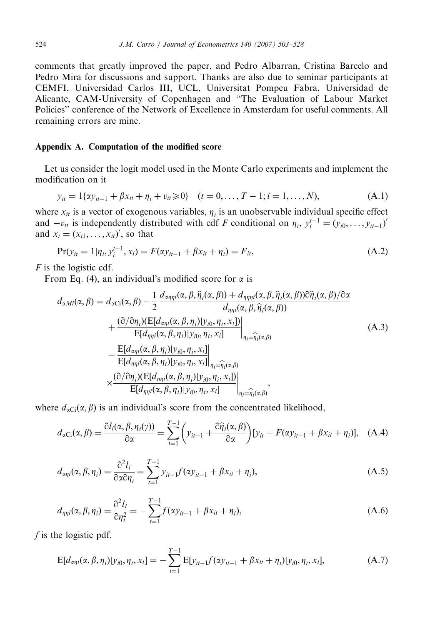comments that greatly improved the paper, and Pedro Albarran, Cristina Barcelo and Pedro Mira for discussions and support. Thanks are also due to seminar participants at CEMFI, Universidad Carlos III, UCL, Universitat Pompeu Fabra, Universidad de Alicante, CAM-University of Copenhagen and ''The Evaluation of Labour Market Policies'' conference of the Network of Excellence in Amsterdam for useful comments. All remaining errors are mine.

# Appendix A. Computation of the modified score

Let us consider the logit model used in the Monte Carlo experiments and implement the modification on it

$$
y_{it} = 1\{\alpha y_{it-1} + \beta x_{it} + \eta_i + v_{it} \ge 0\} \quad (t = 0, \dots, T - 1; i = 1, \dots, N),
$$
 (A.1)

where  $x_{it}$  is a vector of exogenous variables,  $\eta_i$  is an unobservable individual specific effect and  $-v_{it}$  is independently distributed with cdf F conditional on  $\eta_i$ ,  $y_i^{t-1} = (y_{i0}, \dots, y_{it-1})'$ and  $x_i = (x_{i1}, \ldots, x_{it})'$ , so that

$$
Pr(y_{it} = 1 | \eta_i, y_i^{t-1}, x_i) = F(\alpha y_{it-1} + \beta x_{it} + \eta_i) = F_{it},
$$
\n(A.2)

 $F$  is the logistic cdf.

From Eq. (4), an individual's modified score for  $\alpha$  is

$$
d_{\alpha Mi}(\alpha, \beta) = d_{\alpha Ci}(\alpha, \beta) - \frac{1}{2} \frac{d_{\alpha\eta\eta i}(\alpha, \beta, \hat{\eta}_{i}(\alpha, \beta)) + d_{\eta\eta\eta i}(\alpha, \beta, \hat{\eta}_{i}(\alpha, \beta))\hat{\sigma}\hat{\eta}_{i}(\alpha, \beta)/\hat{\sigma}\alpha}{d_{\eta\eta i}(\alpha, \beta, \hat{\eta}_{i}(\alpha, \beta))} + \frac{(\hat{\sigma}/\hat{\sigma}\eta_{i})(\text{E}[d_{\alpha\eta i}(\alpha, \beta, \eta_{i})|y_{i0}, \eta_{i}, x_{i}])}{\text{E}[d_{\eta\eta i}(\alpha, \beta, \eta_{i})|y_{i0}, \eta_{i}, x_{i}]} - \frac{\text{E}[d_{\alpha\eta i}(\alpha, \beta, \eta_{i})|y_{i0}, \eta_{i}, x_{i}]}{\text{E}[d_{\eta\eta i}(\alpha, \beta, \eta_{i})|y_{i0}, \eta_{i}, x_{i}]}\n\times \frac{(\hat{\sigma}/\hat{\sigma}\eta_{i})(\text{E}[d_{\eta\eta i}(\alpha, \beta, \eta_{i})|y_{i0}, \eta_{i}, x_{i}]}{\text{E}[d_{\eta\eta i}(\alpha, \beta, \eta_{i})|y_{i0}, \eta_{i}, x_{i}]}\n\times \frac{(\hat{\sigma}/\hat{\sigma}\eta_{i})(\text{E}[d_{\eta\eta i}(\alpha, \beta, \eta_{i})|y_{i0}, \eta_{i}, x_{i}]}{\text{E}[d_{\eta\eta i}(\alpha, \beta, \eta_{i})|y_{i0}, \eta_{i}, x_{i}]}\n\times \frac{(\hat{\sigma}/\hat{\sigma}\eta_{i})(\text{E}[d_{\eta\eta i}(\alpha, \beta, \eta_{i})|y_{i0}, \eta_{i}, x_{i}]}{\text{E}[d_{\eta\eta i}(\alpha, \beta, \eta_{i})|y_{i0}, \eta_{i}, x_{i}]}\n\times \frac{(\hat{\sigma}/\hat{\sigma}\eta_{i})(\text{E}[d_{\eta\eta i}(\alpha, \beta, \eta_{i})|y_{i0}, \eta_{i}, x_{i}]}{\text{E}[d_{\eta\eta i}(\alpha, \beta, \eta_{i})|y_{i0}, \eta_{i}, x_{i}]}\n\times \frac{(\hat{\sigma}/\hat{\sigma}\eta_{i})(\text{E}[d_{\eta\
$$

where  $d_{\alpha C}(\alpha, \beta)$  is an individual's score from the concentrated likelihood,

$$
d_{\alpha Ci}(\alpha,\beta) = \frac{\partial l_i(\alpha,\beta,\eta_i(\gamma))}{\partial \alpha} = \sum_{t=1}^{T-1} \left( y_{it-1} + \frac{\partial \hat{\eta}_i(\alpha,\beta)}{\partial \alpha} \right) [y_{it} - F(\alpha y_{it-1} + \beta x_{it} + \eta_i)], \quad (A.4)
$$

$$
d_{\alpha\eta i}(\alpha,\beta,\eta_i) = \frac{\partial^2 l_i}{\partial \alpha \partial \eta_i} = \sum_{t=1}^{T-1} y_{it-1} f(\alpha y_{it-1} + \beta x_{it} + \eta_i), \qquad (A.5)
$$

$$
d_{\eta\eta i}(\alpha,\beta,\eta_i) = \frac{\partial^2 l_i}{\partial \eta_i^2} = -\sum_{t=1}^{T-1} f(\alpha y_{it-1} + \beta x_{it} + \eta_i),
$$
\n(A.6)

f is the logistic pdf.

$$
E[d_{\alpha\eta i}(\alpha,\beta,\eta_i)|y_{i0},\eta_i,x_i] = -\sum_{t=1}^{T-1} E[y_{it-1}f(\alpha y_{it-1} + \beta x_{it} + \eta_i)|y_{i0},\eta_i,x_i],
$$
(A.7)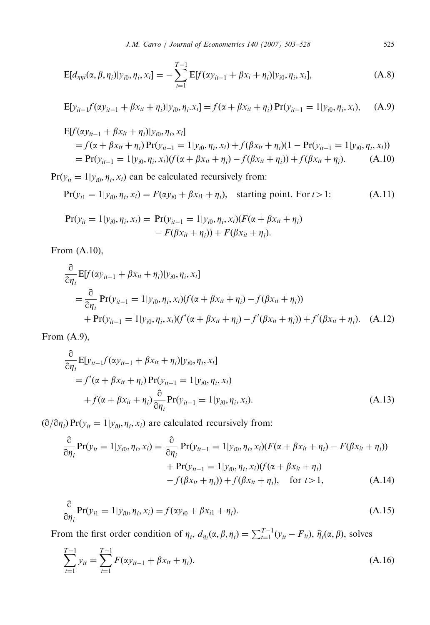$$
E[d_{\eta\eta i}(\alpha,\beta,\eta_i)|y_{i0},\eta_i,x_i] = -\sum_{t=1}^{T-1} E[f(\alpha y_{it-1} + \beta x_i + \eta_i)|y_{i0},\eta_i,x_i],
$$
\n(A.8)

$$
E[y_{it-1}f(\alpha y_{it-1} + \beta x_{it} + \eta_i)|y_{i0}, \eta_i.x_i] = f(\alpha + \beta x_{it} + \eta_i) Pr(y_{it-1} = 1|y_{i0}, \eta_i, x_i), \quad (A.9)
$$

$$
\begin{split} \nE[f(\alpha y_{it-1} + \beta x_{it} + \eta_i)|y_{i0}, \eta_i, x_i] \\
&= f(\alpha + \beta x_{it} + \eta_i) \Pr(y_{it-1} = 1|y_{i0}, \eta_i, x_i) + f(\beta x_{it} + \eta_i)(1 - \Pr(y_{it-1} = 1|y_{i0}, \eta_i, x_i)) \\
&= \Pr(y_{it-1} = 1|y_{i0}, \eta_i, x_i)(f(\alpha + \beta x_{it} + \eta_i) - f(\beta x_{it} + \eta_i)) + f(\beta x_{it} + \eta_i). \n\end{split} \tag{A.10}
$$

 $Pr(y_{it} = 1 | y_{i0}, \eta_i, x_i)$  can be calculated recursively from:

$$
Pr(y_{i1} = 1 | y_{i0}, \eta_i, x_i) = F(\alpha y_{i0} + \beta x_{i1} + \eta_i), \text{ starting point. For } t > 1:
$$
 (A.11)

$$
Pr(y_{it} = 1 | y_{i0}, \eta_i, x_i) = Pr(y_{it-1} = 1 | y_{i0}, \eta_i, x_i) (F(\alpha + \beta x_{it} + \eta_i)) - F(\beta x_{it} + \eta_i)) + F(\beta x_{it} + \eta_i).
$$

From (A.10),

$$
\frac{\partial}{\partial \eta_i} \mathbf{E}[f(\alpha y_{it-1} + \beta x_{it} + \eta_i)|y_{i0}, \eta_i, x_i]
$$
\n
$$
= \frac{\partial}{\partial \eta_i} \mathbf{Pr}(y_{it-1} = 1|y_{i0}, \eta_i, x_i) (f(\alpha + \beta x_{it} + \eta_i) - f(\beta x_{it} + \eta_i))
$$
\n
$$
+ \mathbf{Pr}(y_{it-1} = 1|y_{i0}, \eta_i, x_i) (f'(\alpha + \beta x_{it} + \eta_i) - f'(\beta x_{it} + \eta_i)) + f'(\beta x_{it} + \eta_i). \quad (A.12)
$$

From (A.9),

$$
\frac{\partial}{\partial \eta_i} \mathbf{E}[y_{it-1}f(\alpha y_{it-1} + \beta x_{it} + \eta_i)|y_{i0}, \eta_i, x_i]
$$
\n
$$
= f'(\alpha + \beta x_{it} + \eta_i) \Pr(y_{it-1} = 1|y_{i0}, \eta_i, x_i)
$$
\n
$$
+ f(\alpha + \beta x_{it} + \eta_i) \frac{\partial}{\partial \eta_i} \Pr(y_{it-1} = 1|y_{i0}, \eta_i, x_i).
$$
\n(A.13)

 $\left(\frac{\partial}{\partial \eta_i}\right) \Pr(y_{it} = 1 | y_{i0}, \eta_i, x_i)$  are calculated recursively from:

$$
\frac{\partial}{\partial \eta_i} Pr(y_{it} = 1 | y_{i0}, \eta_i, x_i) = \frac{\partial}{\partial \eta_i} Pr(y_{it-1} = 1 | y_{i0}, \eta_i, x_i) (F(\alpha + \beta x_{it} + \eta_i) - F(\beta x_{it} + \eta_i)) \n+ Pr(y_{it-1} = 1 | y_{i0}, \eta_i, x_i) (f(\alpha + \beta x_{it} + \eta_i) \n- f(\beta x_{it} + \eta_i)) + f(\beta x_{it} + \eta_i), \quad \text{for } t > 1,
$$
\n(A.14)

$$
\frac{\partial}{\partial \eta_i} \Pr(y_{i1} = 1 | y_{i0}, \eta_i, x_i) = f(\alpha y_{i0} + \beta x_{i1} + \eta_i). \tag{A.15}
$$

From the first order condition of  $\eta_i$ ,  $d_{\eta_i}(\alpha, \beta, \eta_i) = \sum_{t=1}^{T-1} (y_{it} - F_{it})$ ,  $\hat{\eta}_i(\alpha, \beta)$ , solves

$$
\sum_{t=1}^{T-1} y_{it} = \sum_{t=1}^{T-1} F(\alpha y_{it-1} + \beta x_{it} + \eta_i).
$$
 (A.16)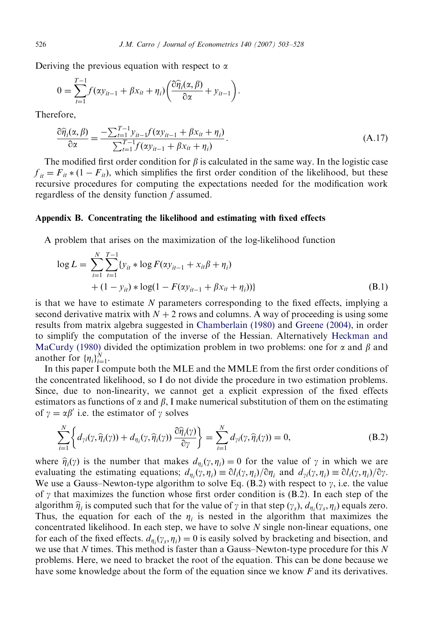Deriving the previous equation with respect to  $\alpha$ 

$$
0 = \sum_{t=1}^{T-1} f(\alpha y_{it-1} + \beta x_{it} + \eta_i) \left( \frac{\partial \widehat{\eta}_i(\alpha, \beta)}{\partial \alpha} + y_{it-1} \right).
$$

Therefore,

$$
\frac{\partial \hat{\eta}_i(\alpha, \beta)}{\partial \alpha} = \frac{-\sum_{t=1}^{T-1} y_{it-1} f(\alpha y_{it-1} + \beta x_{it} + \eta_i)}{\sum_{t=1}^{T-1} f(\alpha y_{it-1} + \beta x_{it} + \eta_i)}.
$$
\n(A.17)

The modified first order condition for  $\beta$  is calculated in the same way. In the logistic case  $f_{it} = F_{it} * (1 - F_{it})$ , which simplifies the first order condition of the likelihood, but these recursive procedures for computing the expectations needed for the modification work regardless of the density function f assumed.

#### Appendix B. Concentrating the likelihood and estimating with fixed effects

A problem that arises on the maximization of the log-likelihood function

$$
\log L = \sum_{i=1}^{N} \sum_{t=1}^{T-1} \{y_{it} * \log F(\alpha y_{it-1} + x_{it}\beta + \eta_i) + (1 - y_{it}) * \log(1 - F(\alpha y_{it-1} + \beta x_{it} + \eta_i))\}
$$
(B.1)

is that we have to estimate  $N$  parameters corresponding to the fixed effects, implying a second derivative matrix with  $N + 2$  rows and columns. A way of proceeding is using some results from matrix algebra suggested in [Chamberlain \(1980\)](#page-24-0) and [Greene \(2004\)](#page-24-0), in order to simplify the computation of the inverse of the Hessian. Alternatively [Heckman and](#page-25-0) [MaCurdy \(1980\)](#page-25-0) divided the optimization problem in two problems: one for  $\alpha$  and  $\beta$  and another for  $\{\eta_i\}_{i=1}^N$ .

In this paper I compute both the MLE and the MMLE from the first order conditions of the concentrated likelihood, so I do not divide the procedure in two estimation problems. Since, due to non-linearity, we cannot get a explicit expression of the fixed effects estimators as functions of  $\alpha$  and  $\beta$ , I make numerical substitution of them on the estimating of  $\gamma = \alpha \beta'$  i.e. the estimator of  $\gamma$  solves

$$
\sum_{i=1}^{N} \left\{ d_{\gamma i}(\gamma, \widehat{\eta}_i(\gamma)) + d_{\eta_i}(\gamma, \widehat{\eta}_i(\gamma)) \frac{\partial \widehat{\eta}_i(\gamma)}{\partial \gamma} \right\} = \sum_{i=1}^{N} d_{\gamma i}(\gamma, \widehat{\eta}_i(\gamma)) = 0,
$$
\n(B.2)

where  $\hat{\eta}_i(y)$  is the number that makes  $d_{\eta_i}(y, \eta_i) = 0$  for the value of  $\gamma$  in which we are evaluating the estimating equations;  $d_{\eta_i}(\gamma, \eta_i) \equiv \partial l_i(\gamma, \eta_i)/\partial \eta_i$  and  $d_{\gamma_i}(\gamma, \eta_i) \equiv \partial l_i(\gamma, \eta_i)/\partial \gamma$ . We use a Gauss–Newton-type algorithm to solve Eq. (B.2) with respect to  $\gamma$ , i.e. the value of  $\gamma$  that maximizes the function whose first order condition is (B.2). In each step of the algorithm  $\hat{\eta}_i$  is computed such that for the value of  $\gamma$  in that step  $(\gamma_s)$ ,  $d_{\eta_i}(\gamma_s, \eta_i)$  equals zero. Thus, the equation for each of the  $\eta_i$  is nested in the algorithm that maximizes the concentrated likelihood. In each step, we have to solve N single non-linear equations, one for each of the fixed effects.  $d_{\eta_i}(\gamma_s, \eta_i) = 0$  is easily solved by bracketing and bisection, and we use that  $N$  times. This method is faster than a Gauss–Newton-type procedure for this  $N$ problems. Here, we need to bracket the root of the equation. This can be done because we have some knowledge about the form of the equation since we know  $F$  and its derivatives.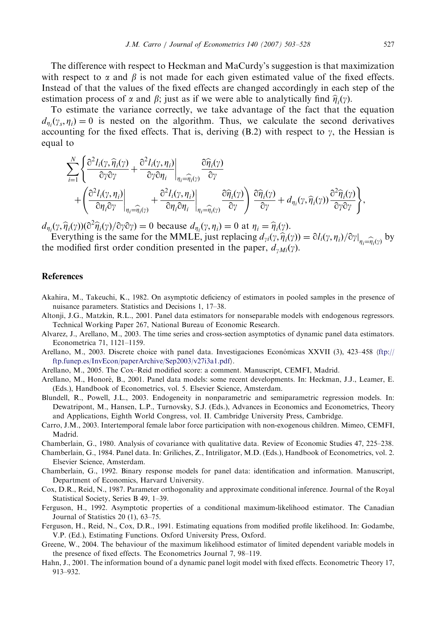<span id="page-24-0"></span>The difference with respect to Heckman and MaCurdy's suggestion is that maximization with respect to  $\alpha$  and  $\beta$  is not made for each given estimated value of the fixed effects. Instead of that the values of the fixed effects are changed accordingly in each step of the estimation process of  $\alpha$  and  $\beta$ ; just as if we were able to analytically find  $\hat{\eta}_i(\gamma)$ .

To estimate the variance correctly, we take advantage of the fact that the equation  $d_{\eta_i}(\gamma_s, \eta_i) = 0$  is nested on the algorithm. Thus, we calculate the second derivatives accounting for the fixed effects. That is, deriving  $(B.2)$  with respect to  $\gamma$ , the Hessian is equal to

$$
\begin{split} &\sum_{i=1}^{N}\left\{\frac{\partial^{2}l_{i}(\gamma,\widehat{\eta}_{i}(\gamma)}{\partial\gamma\partial\gamma}+\frac{\partial^{2}l_{i}(\gamma,\eta_{i})}{\partial\gamma\partial\eta_{i}}\bigg|_{\eta_{i}=\widehat{\eta}_{i}(\gamma)}\frac{\partial\widehat{\eta}_{i}(\gamma)}{\partial\gamma} \right.\\ &\left. +\left(\frac{\partial^{2}l_{i}(\gamma,\eta_{i})}{\partial\eta_{i}\partial\gamma}\bigg|_{\eta_{i}=\widehat{\eta}_{i}(\gamma)}+\frac{\partial^{2}l_{i}(\gamma,\eta_{i})}{\partial\eta_{i}\partial\eta_{i}}\bigg|_{\eta_{i}=\widehat{\eta}_{i}(\gamma)}\frac{\partial\widehat{\eta}_{i}(\gamma)}{\partial\gamma}\right)\frac{\partial\widehat{\eta}_{i}(\gamma)}{\partial\gamma}+d_{\eta_{i}}(\gamma,\widehat{\eta}_{i}(\gamma))\frac{\partial^{2}\widehat{\eta}_{i}(\gamma)}{\partial\gamma\partial\gamma}\right\},\end{split}
$$

 $d_{\eta_i}(\gamma, \hat{\eta}_i(\gamma))(\partial^2 \hat{\eta}_i(\gamma)/\partial \gamma \partial \gamma) = 0$  because  $d_{\eta_i}(\gamma, \eta_i) = 0$  at  $\eta_i = \hat{\eta}_i(\gamma)$ .

Everything is the same for the MMLE, just replacing  $d_{\gamma l}(\gamma, \hat{\eta}_i(\gamma)) = \partial l_i(\gamma, \eta_i)/\partial \gamma|_{\eta_i = \hat{\eta}_i(\gamma)}$  by the modified first order condition presented in the paper,  $d_{vMi}(y)$ .

## References

- Akahira, M., Takeuchi, K., 1982. On asymptotic deficiency of estimators in pooled samples in the presence of nuisance parameters. Statistics and Decisions 1, 17–38.
- Altonji, J.G., Matzkin, R.L., 2001. Panel data estimators for nonseparable models with endogenous regressors. Technical Working Paper 267, National Bureau of Economic Research.
- Alvarez, J., Arellano, M., 2003. The time series and cross-section asymptotics of dynamic panel data estimators. Econometrica 71, 1121–1159.
- Arellano, M., 2003. Discrete choice with panel data. Investigaciones Económicas XXVII (3), 423–458 ([ftp://](ftp://ftp.funep.es/InvEcon/paperArchive/Sep2003/v27i3a1.pdf) [ftp.funep.es/InvEcon/paperArchive/Sep2003/v27i3a1.pdf](ftp://ftp.funep.es/InvEcon/paperArchive/Sep2003/v27i3a1.pdf)).
- Arellano, M., 2005. The Cox–Reid modified score: a comment. Manuscript, CEMFI, Madrid.
- Arellano, M., Honoré, B., 2001. Panel data models: some recent developments. In: Heckman, J.J., Leamer, E. (Eds.), Handbook of Econometrics, vol. 5. Elsevier Science, Amsterdam.
- Blundell, R., Powell, J.L., 2003. Endogeneity in nonparametric and semiparametric regression models. In: Dewatripont, M., Hansen, L.P., Turnovsky, S.J. (Eds.), Advances in Economics and Econometrics, Theory and Applications, Eighth World Congress, vol. II. Cambridge University Press, Cambridge.
- Carro, J.M., 2003. Intertemporal female labor force participation with non-exogenous children. Mimeo, CEMFI, Madrid.
- Chamberlain, G., 1980. Analysis of covariance with qualitative data. Review of Economic Studies 47, 225–238.
- Chamberlain, G., 1984. Panel data. In: Griliches, Z., Intriligator, M.D. (Eds.), Handbook of Econometrics, vol. 2. Elsevier Science, Amsterdam.
- Chamberlain, G., 1992. Binary response models for panel data: identification and information. Manuscript, Department of Economics, Harvard University.
- Cox, D.R., Reid, N., 1987. Parameter orthogonality and approximate conditional inference. Journal of the Royal Statistical Society, Series B 49, 1–39.
- Ferguson, H., 1992. Asymptotic properties of a conditional maximum-likelihood estimator. The Canadian Journal of Statistics 20 (1), 63–75.
- Ferguson, H., Reid, N., Cox, D.R., 1991. Estimating equations from modified profile likelihood. In: Godambe, V.P. (Ed.), Estimating Functions. Oxford University Press, Oxford.
- Greene, W., 2004. The behaviour of the maximum likelihood estimator of limited dependent variable models in the presence of fixed effects. The Econometrics Journal 7, 98–119.
- Hahn, J., 2001. The information bound of a dynamic panel logit model with fixed effects. Econometric Theory 17, 913–932.